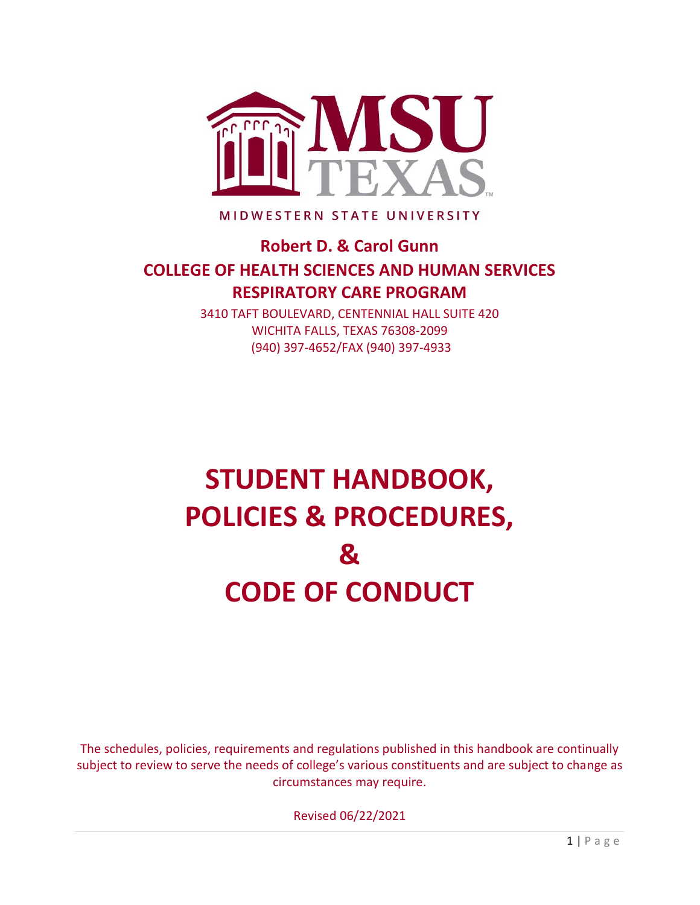

MIDWESTERN STATE UNIVERSITY

# **Robert D. & Carol Gunn COLLEGE OF HEALTH SCIENCES AND HUMAN SERVICES RESPIRATORY CARE PROGRAM**

3410 TAFT BOULEVARD, CENTENNIAL HALL SUITE 420 WICHITA FALLS, TEXAS 76308-2099 (940) 397-4652/FAX (940) 397-4933

# **STUDENT HANDBOOK, POLICIES & PROCEDURES, & CODE OF CONDUCT**

The schedules, policies, requirements and regulations published in this handbook are continually subject to review to serve the needs of college's various constituents and are subject to change as circumstances may require.

Revised 06/22/2021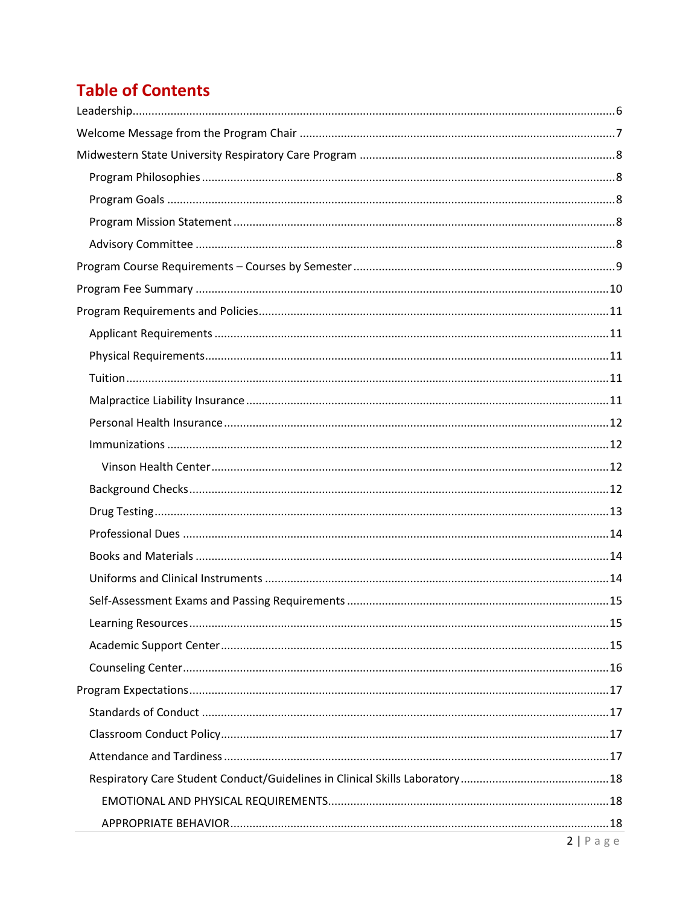# **Table of Contents**

| $2 \ln 2$ |
|-----------|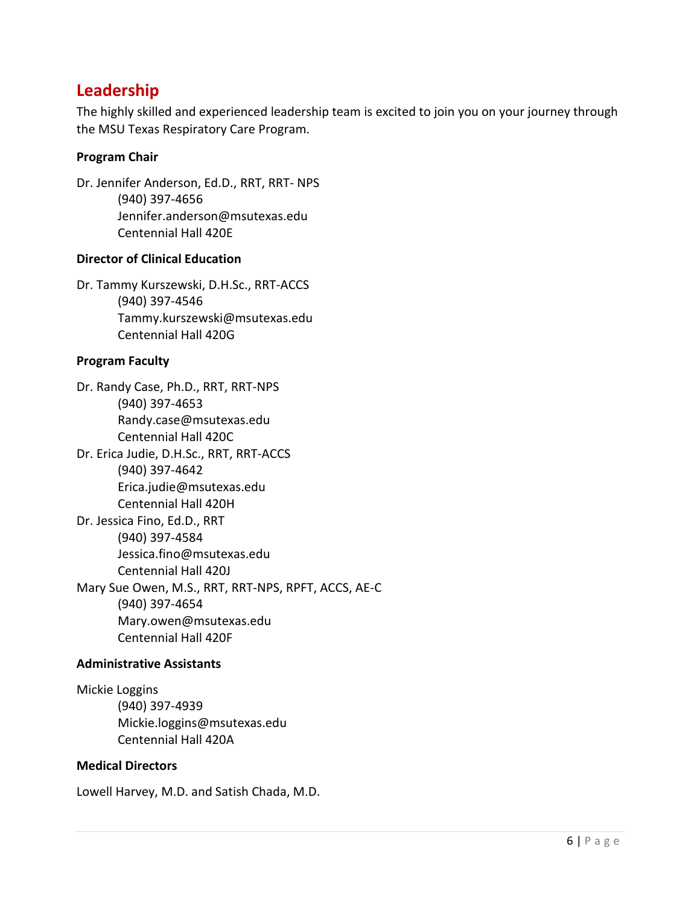### <span id="page-5-0"></span>**Leadership**

The highly skilled and experienced leadership team is excited to join you on your journey through the MSU Texas Respiratory Care Program.

#### **Program Chair**

Dr. Jennifer Anderson, Ed.D., RRT, RRT- NPS (940) 397-4656 Jennifer.anderson@msutexas.edu Centennial Hall 420E

#### **Director of Clinical Education**

Dr. Tammy Kurszewski, D.H.Sc., RRT-ACCS (940) 397-4546 Tammy.kurszewski@msutexas.edu Centennial Hall 420G

#### **Program Faculty**

Dr. Randy Case, Ph.D., RRT, RRT-NPS (940) 397-4653 Randy.case@msutexas.edu Centennial Hall 420C Dr. Erica Judie, D.H.Sc., RRT, RRT-ACCS (940) 397-4642 Erica.judie@msutexas.edu Centennial Hall 420H Dr. Jessica Fino, Ed.D., RRT (940) 397-4584 Jessica.fino@msutexas.edu Centennial Hall 420J Mary Sue Owen, M.S., RRT, RRT-NPS, RPFT, ACCS, AE-C (940) 397-4654 Mary.owen@msutexas.edu Centennial Hall 420F

#### **Administrative Assistants**

Mickie Loggins (940) 397-4939 Mickie.loggins@msutexas.edu Centennial Hall 420A

#### **Medical Directors**

Lowell Harvey, M.D. and Satish Chada, M.D.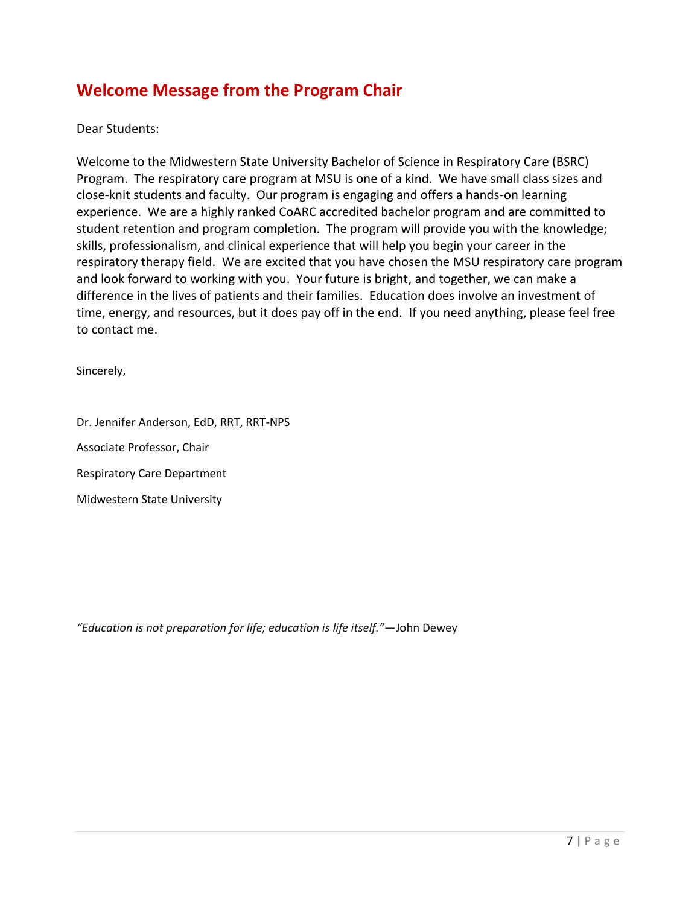# <span id="page-6-0"></span>**Welcome Message from the Program Chair**

Dear Students:

Welcome to the Midwestern State University Bachelor of Science in Respiratory Care (BSRC) Program. The respiratory care program at MSU is one of a kind. We have small class sizes and close-knit students and faculty. Our program is engaging and offers a hands-on learning experience. We are a highly ranked CoARC accredited bachelor program and are committed to student retention and program completion. The program will provide you with the knowledge; skills, professionalism, and clinical experience that will help you begin your career in the respiratory therapy field. We are excited that you have chosen the MSU respiratory care program and look forward to working with you. Your future is bright, and together, we can make a difference in the lives of patients and their families. Education does involve an investment of time, energy, and resources, but it does pay off in the end. If you need anything, please feel free to contact me.

Sincerely,

Dr. Jennifer Anderson, EdD, RRT, RRT-NPS

Associate Professor, Chair

Respiratory Care Department

Midwestern State University

*"Education is not preparation for life; education is life itself."*—John Dewey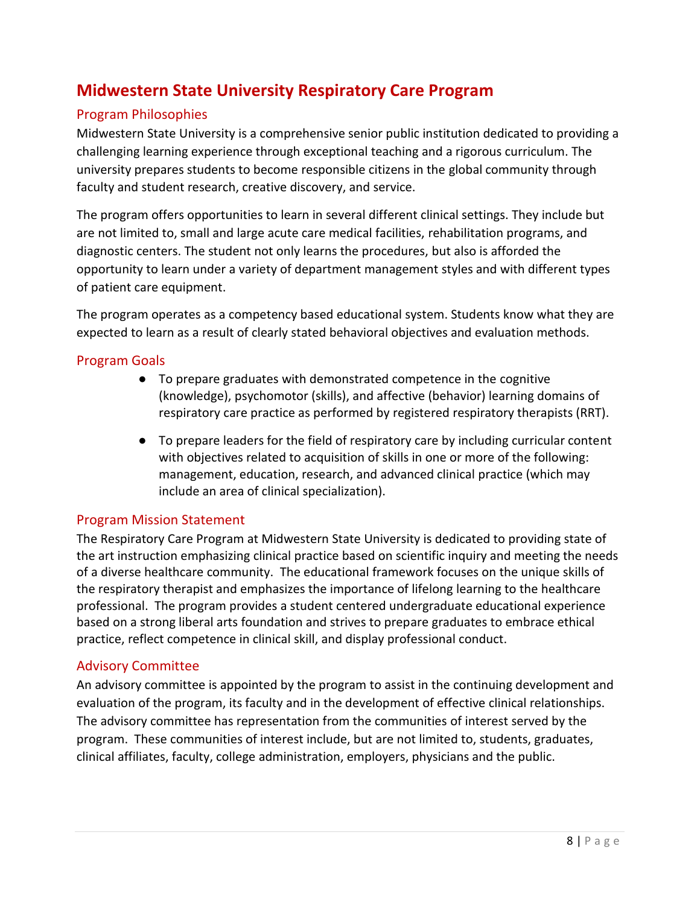# <span id="page-7-0"></span>**Midwestern State University Respiratory Care Program**

#### <span id="page-7-1"></span>Program Philosophies

Midwestern State University is a comprehensive senior public institution dedicated to providing a challenging learning experience through exceptional teaching and a rigorous curriculum. The university prepares students to become responsible citizens in the global community through faculty and student research, creative discovery, and service.

The program offers opportunities to learn in several different clinical settings. They include but are not limited to, small and large acute care medical facilities, rehabilitation programs, and diagnostic centers. The student not only learns the procedures, but also is afforded the opportunity to learn under a variety of department management styles and with different types of patient care equipment.

The program operates as a competency based educational system. Students know what they are expected to learn as a result of clearly stated behavioral objectives and evaluation methods.

#### <span id="page-7-2"></span>Program Goals

- To prepare graduates with demonstrated competence in the cognitive (knowledge), psychomotor (skills), and affective (behavior) learning domains of respiratory care practice as performed by registered respiratory therapists (RRT).
- To prepare leaders for the field of respiratory care by including curricular content with objectives related to acquisition of skills in one or more of the following: management, education, research, and advanced clinical practice (which may include an area of clinical specialization).

#### <span id="page-7-3"></span>Program Mission Statement

The Respiratory Care Program at Midwestern State University is dedicated to providing state of the art instruction emphasizing clinical practice based on scientific inquiry and meeting the needs of a diverse healthcare community. The educational framework focuses on the unique skills of the respiratory therapist and emphasizes the importance of lifelong learning to the healthcare professional. The program provides a student centered undergraduate educational experience based on a strong liberal arts foundation and strives to prepare graduates to embrace ethical practice, reflect competence in clinical skill, and display professional conduct.

#### <span id="page-7-4"></span>Advisory Committee

An advisory committee is appointed by the program to assist in the continuing development and evaluation of the program, its faculty and in the development of effective clinical relationships. The advisory committee has representation from the communities of interest served by the program. These communities of interest include, but are not limited to, students, graduates, clinical affiliates, faculty, college administration, employers, physicians and the public.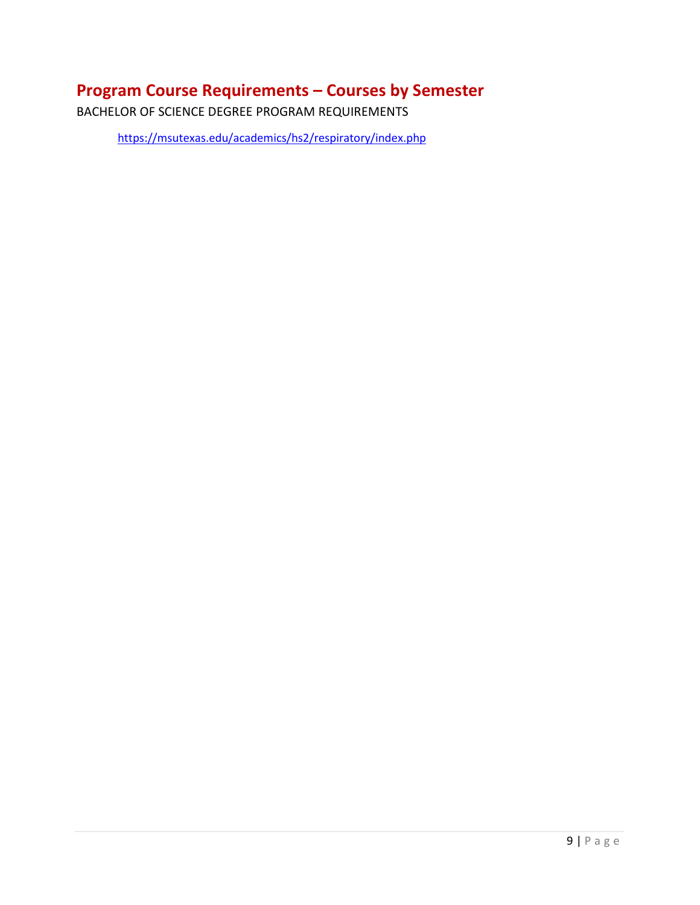# <span id="page-8-0"></span>**Program Course Requirements – Courses by Semester**

BACHELOR OF SCIENCE DEGREE PROGRAM REQUIREMENTS

<https://msutexas.edu/academics/hs2/respiratory/index.php>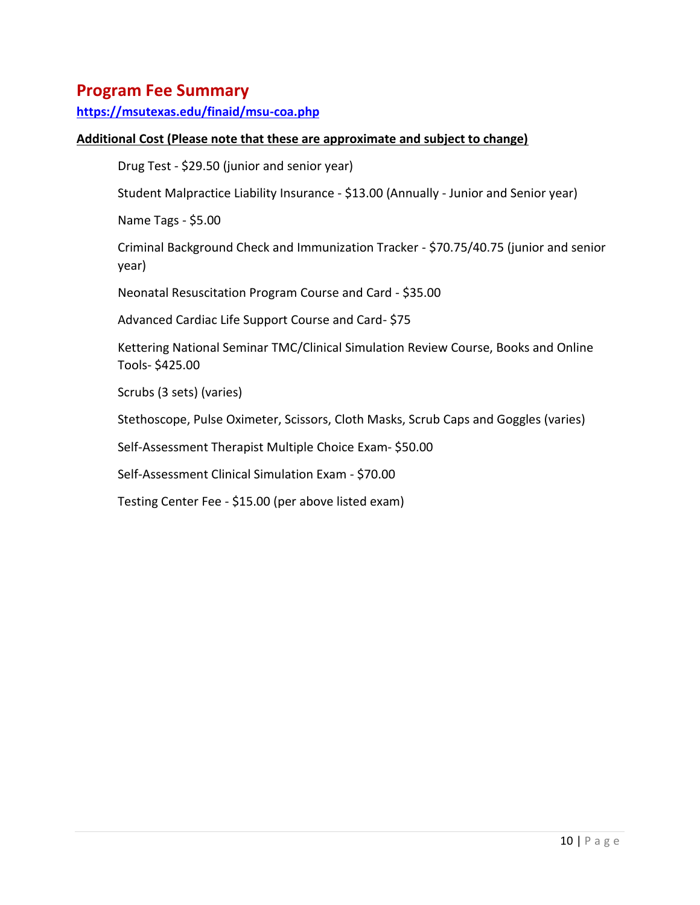### <span id="page-9-0"></span>**Program Fee Summary**

**<https://msutexas.edu/finaid/msu-coa.php>**

#### **Additional Cost (Please note that these are approximate and subject to change)**

Drug Test - \$29.50 (junior and senior year)

Student Malpractice Liability Insurance - \$13.00 (Annually - Junior and Senior year)

Name Tags - \$5.00

Criminal Background Check and Immunization Tracker - \$70.75/40.75 (junior and senior year)

Neonatal Resuscitation Program Course and Card - \$35.00

Advanced Cardiac Life Support Course and Card- \$75

Kettering National Seminar TMC/Clinical Simulation Review Course, Books and Online Tools- \$425.00

Scrubs (3 sets) (varies)

Stethoscope, Pulse Oximeter, Scissors, Cloth Masks, Scrub Caps and Goggles (varies)

Self-Assessment Therapist Multiple Choice Exam- \$50.00

Self-Assessment Clinical Simulation Exam - \$70.00

Testing Center Fee - \$15.00 (per above listed exam)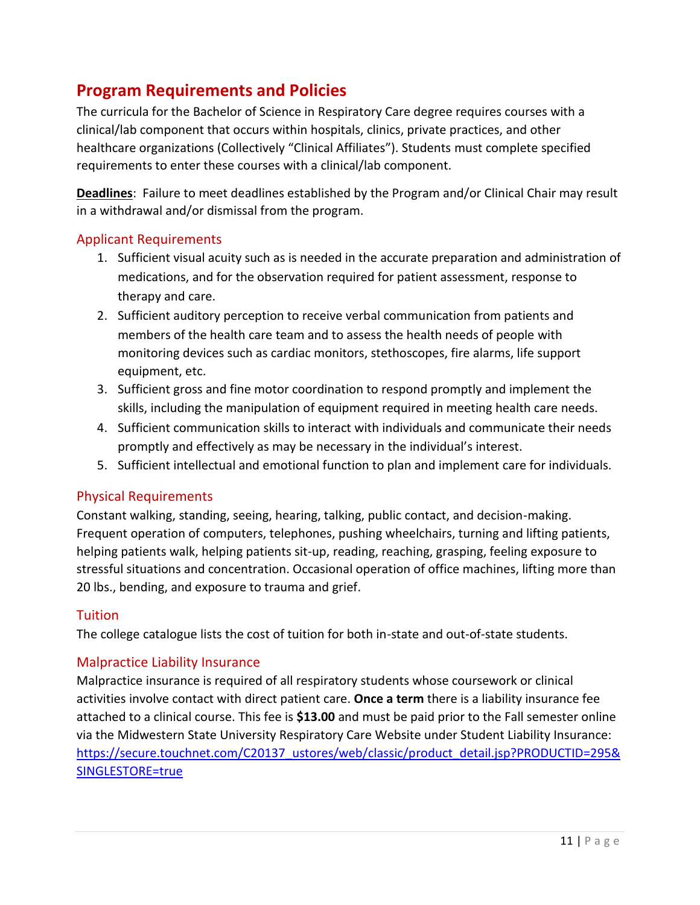# <span id="page-10-0"></span>**Program Requirements and Policies**

The curricula for the Bachelor of Science in Respiratory Care degree requires courses with a clinical/lab component that occurs within hospitals, clinics, private practices, and other healthcare organizations (Collectively "Clinical Affiliates"). Students must complete specified requirements to enter these courses with a clinical/lab component.

**Deadlines**: Failure to meet deadlines established by the Program and/or Clinical Chair may result in a withdrawal and/or dismissal from the program.

#### <span id="page-10-1"></span>Applicant Requirements

- 1. Sufficient visual acuity such as is needed in the accurate preparation and administration of medications, and for the observation required for patient assessment, response to therapy and care.
- 2. Sufficient auditory perception to receive verbal communication from patients and members of the health care team and to assess the health needs of people with monitoring devices such as cardiac monitors, stethoscopes, fire alarms, life support equipment, etc.
- 3. Sufficient gross and fine motor coordination to respond promptly and implement the skills, including the manipulation of equipment required in meeting health care needs.
- 4. Sufficient communication skills to interact with individuals and communicate their needs promptly and effectively as may be necessary in the individual's interest.
- 5. Sufficient intellectual and emotional function to plan and implement care for individuals.

#### <span id="page-10-2"></span>Physical Requirements

Constant walking, standing, seeing, hearing, talking, public contact, and decision-making. Frequent operation of computers, telephones, pushing wheelchairs, turning and lifting patients, helping patients walk, helping patients sit-up, reading, reaching, grasping, feeling exposure to stressful situations and concentration. Occasional operation of office machines, lifting more than 20 lbs., bending, and exposure to trauma and grief.

#### <span id="page-10-3"></span>**Tuition**

The college catalogue lists the cost of tuition for both in-state and out-of-state students.

#### <span id="page-10-4"></span>Malpractice Liability Insurance

Malpractice insurance is required of all respiratory students whose coursework or clinical activities involve contact with direct patient care. **Once a term** there is a liability insurance fee attached to a clinical course. This fee is **\$13.00** and must be paid prior to the Fall semester online via the Midwestern State University Respiratory Care Website under Student Liability Insurance: [https://secure.touchnet.com/C20137\\_ustores/web/classic/product\\_detail.jsp?PRODUCTID=295&](https://secure.touchnet.com/C20137_ustores/web/classic/product_detail.jsp?PRODUCTID=295&SINGLESTORE=true) [SINGLESTORE=true](https://secure.touchnet.com/C20137_ustores/web/classic/product_detail.jsp?PRODUCTID=295&SINGLESTORE=true)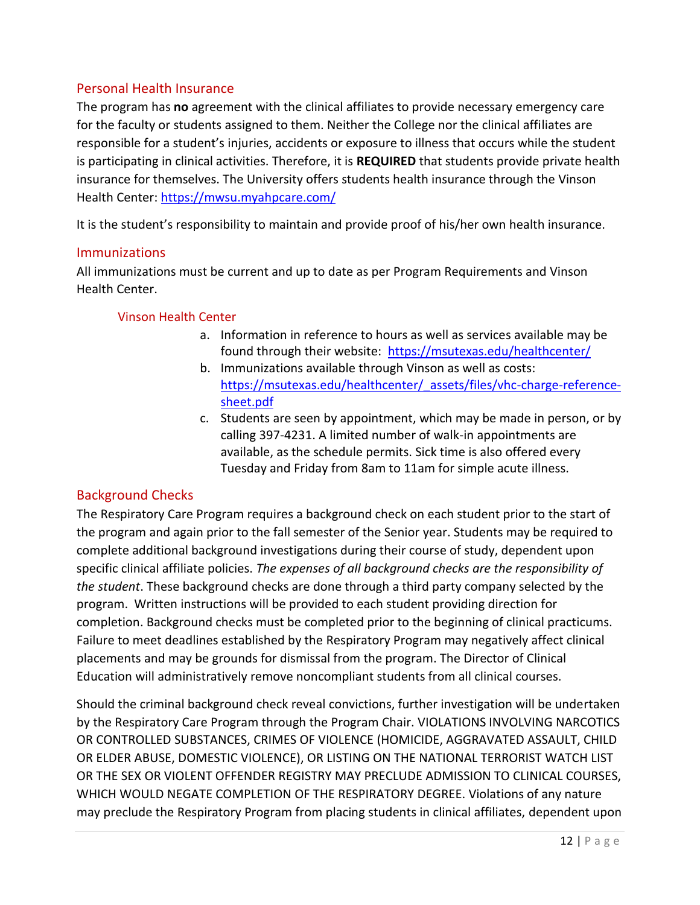#### <span id="page-11-0"></span>Personal Health Insurance

The program has **no** agreement with the clinical affiliates to provide necessary emergency care for the faculty or students assigned to them. Neither the College nor the clinical affiliates are responsible for a student's injuries, accidents or exposure to illness that occurs while the student is participating in clinical activities. Therefore, it is **REQUIRED** that students provide private health insurance for themselves. The University offers students health insurance through the Vinson Health Center:<https://mwsu.myahpcare.com/>

It is the student's responsibility to maintain and provide proof of his/her own health insurance.

#### <span id="page-11-1"></span>**Immunizations**

All immunizations must be current and up to date as per Program Requirements and Vinson Health Center.

#### <span id="page-11-2"></span>Vinson Health Center

- a. Information in reference to hours as well as services available may be found through their website: <https://msutexas.edu/healthcenter/>
- b. Immunizations available through Vinson as well as costs: [https://msutexas.edu/healthcenter/\\_assets/files/vhc-charge-reference](https://msutexas.edu/healthcenter/_assets/files/vhc-charge-reference-sheet.pdf)[sheet.pdf](https://msutexas.edu/healthcenter/_assets/files/vhc-charge-reference-sheet.pdf)
- c. Students are seen by appointment, which may be made in person, or by calling 397-4231. A limited number of walk-in appointments are available, as the schedule permits. Sick time is also offered every Tuesday and Friday from 8am to 11am for simple acute illness.

#### <span id="page-11-3"></span>Background Checks

The Respiratory Care Program requires a background check on each student prior to the start of the program and again prior to the fall semester of the Senior year. Students may be required to complete additional background investigations during their course of study, dependent upon specific clinical affiliate policies. *The expenses of all background checks are the responsibility of the student*. These background checks are done through a third party company selected by the program. Written instructions will be provided to each student providing direction for completion. Background checks must be completed prior to the beginning of clinical practicums. Failure to meet deadlines established by the Respiratory Program may negatively affect clinical placements and may be grounds for dismissal from the program. The Director of Clinical Education will administratively remove noncompliant students from all clinical courses.

Should the criminal background check reveal convictions, further investigation will be undertaken by the Respiratory Care Program through the Program Chair. VIOLATIONS INVOLVING NARCOTICS OR CONTROLLED SUBSTANCES, CRIMES OF VIOLENCE (HOMICIDE, AGGRAVATED ASSAULT, CHILD OR ELDER ABUSE, DOMESTIC VIOLENCE), OR LISTING ON THE NATIONAL TERRORIST WATCH LIST OR THE SEX OR VIOLENT OFFENDER REGISTRY MAY PRECLUDE ADMISSION TO CLINICAL COURSES, WHICH WOULD NEGATE COMPLETION OF THE RESPIRATORY DEGREE. Violations of any nature may preclude the Respiratory Program from placing students in clinical affiliates, dependent upon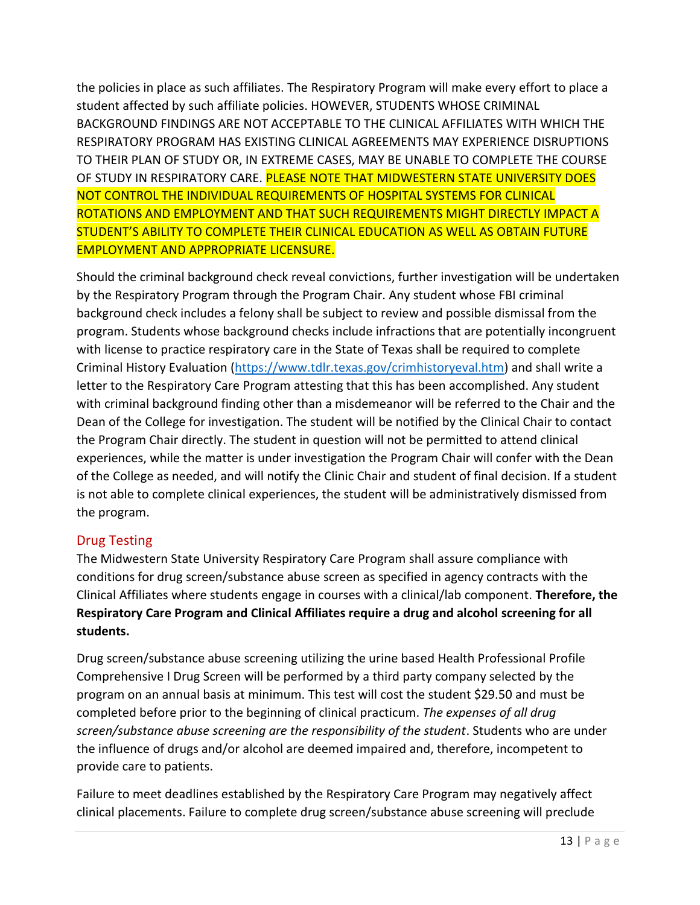the policies in place as such affiliates. The Respiratory Program will make every effort to place a student affected by such affiliate policies. HOWEVER, STUDENTS WHOSE CRIMINAL BACKGROUND FINDINGS ARE NOT ACCEPTABLE TO THE CLINICAL AFFILIATES WITH WHICH THE RESPIRATORY PROGRAM HAS EXISTING CLINICAL AGREEMENTS MAY EXPERIENCE DISRUPTIONS TO THEIR PLAN OF STUDY OR, IN EXTREME CASES, MAY BE UNABLE TO COMPLETE THE COURSE OF STUDY IN RESPIRATORY CARE. PLEASE NOTE THAT MIDWESTERN STATE UNIVERSITY DOES NOT CONTROL THE INDIVIDUAL REQUIREMENTS OF HOSPITAL SYSTEMS FOR CLINICAL ROTATIONS AND EMPLOYMENT AND THAT SUCH REQUIREMENTS MIGHT DIRECTLY IMPACT A STUDENT'S ABILITY TO COMPLETE THEIR CLINICAL EDUCATION AS WELL AS OBTAIN FUTURE EMPLOYMENT AND APPROPRIATE LICENSURE.

Should the criminal background check reveal convictions, further investigation will be undertaken by the Respiratory Program through the Program Chair. Any student whose FBI criminal background check includes a felony shall be subject to review and possible dismissal from the program. Students whose background checks include infractions that are potentially incongruent with license to practice respiratory care in the State of Texas shall be required to complete Criminal History Evaluation [\(https://www.tdlr.texas.gov/crimhistoryeval.htm\)](https://www.tdlr.texas.gov/crimhistoryeval.htm) and shall write a letter to the Respiratory Care Program attesting that this has been accomplished. Any student with criminal background finding other than a misdemeanor will be referred to the Chair and the Dean of the College for investigation. The student will be notified by the Clinical Chair to contact the Program Chair directly. The student in question will not be permitted to attend clinical experiences, while the matter is under investigation the Program Chair will confer with the Dean of the College as needed, and will notify the Clinic Chair and student of final decision. If a student is not able to complete clinical experiences, the student will be administratively dismissed from the program.

#### <span id="page-12-0"></span>Drug Testing

The Midwestern State University Respiratory Care Program shall assure compliance with conditions for drug screen/substance abuse screen as specified in agency contracts with the Clinical Affiliates where students engage in courses with a clinical/lab component. **Therefore, the Respiratory Care Program and Clinical Affiliates require a drug and alcohol screening for all students.**

Drug screen/substance abuse screening utilizing the urine based Health Professional Profile Comprehensive I Drug Screen will be performed by a third party company selected by the program on an annual basis at minimum. This test will cost the student \$29.50 and must be completed before prior to the beginning of clinical practicum. *The expenses of all drug screen/substance abuse screening are the responsibility of the student*. Students who are under the influence of drugs and/or alcohol are deemed impaired and, therefore, incompetent to provide care to patients.

Failure to meet deadlines established by the Respiratory Care Program may negatively affect clinical placements. Failure to complete drug screen/substance abuse screening will preclude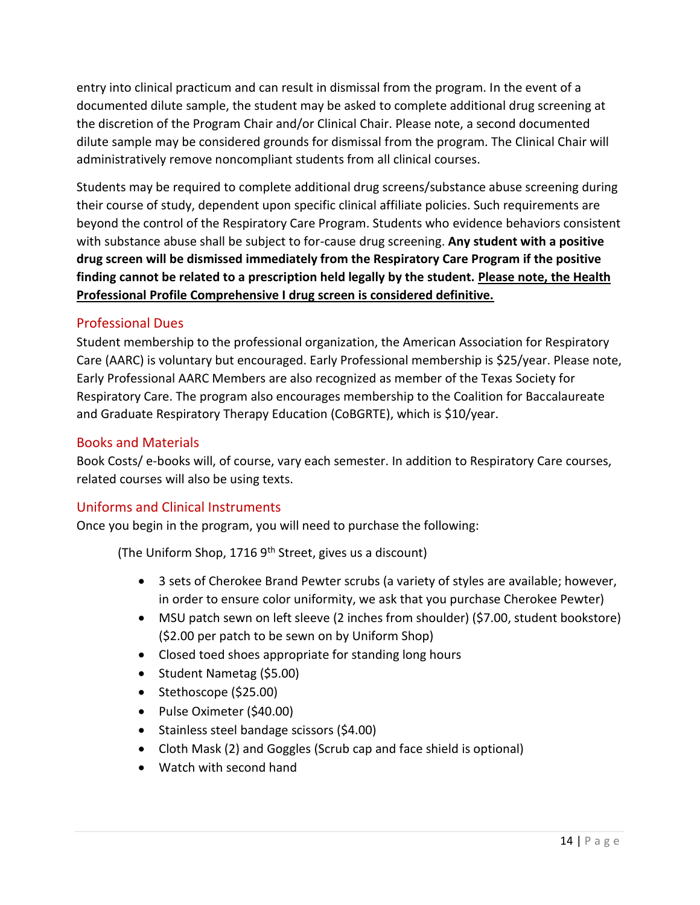entry into clinical practicum and can result in dismissal from the program. In the event of a documented dilute sample, the student may be asked to complete additional drug screening at the discretion of the Program Chair and/or Clinical Chair. Please note, a second documented dilute sample may be considered grounds for dismissal from the program. The Clinical Chair will administratively remove noncompliant students from all clinical courses.

Students may be required to complete additional drug screens/substance abuse screening during their course of study, dependent upon specific clinical affiliate policies. Such requirements are beyond the control of the Respiratory Care Program. Students who evidence behaviors consistent with substance abuse shall be subject to for-cause drug screening. **Any student with a positive drug screen will be dismissed immediately from the Respiratory Care Program if the positive finding cannot be related to a prescription held legally by the student. Please note, the Health Professional Profile Comprehensive I drug screen is considered definitive.** 

#### <span id="page-13-0"></span>Professional Dues

Student membership to the professional organization, the American Association for Respiratory Care (AARC) is voluntary but encouraged. Early Professional membership is \$25/year. Please note, Early Professional AARC Members are also recognized as member of the Texas Society for Respiratory Care. The program also encourages membership to the Coalition for Baccalaureate and Graduate Respiratory Therapy Education (CoBGRTE), which is \$10/year.

#### <span id="page-13-1"></span>Books and Materials

Book Costs/ e-books will, of course, vary each semester. In addition to Respiratory Care courses, related courses will also be using texts.

#### <span id="page-13-2"></span>Uniforms and Clinical Instruments

Once you begin in the program, you will need to purchase the following:

(The Uniform Shop, 1716  $9<sup>th</sup>$  Street, gives us a discount)

- 3 sets of Cherokee Brand Pewter scrubs (a variety of styles are available; however, in order to ensure color uniformity, we ask that you purchase Cherokee Pewter)
- MSU patch sewn on left sleeve (2 inches from shoulder) (\$7.00, student bookstore) (\$2.00 per patch to be sewn on by Uniform Shop)
- Closed toed shoes appropriate for standing long hours
- Student Nametag (\$5.00)
- Stethoscope (\$25.00)
- Pulse Oximeter (\$40.00)
- Stainless steel bandage scissors (\$4.00)
- Cloth Mask (2) and Goggles (Scrub cap and face shield is optional)
- Watch with second hand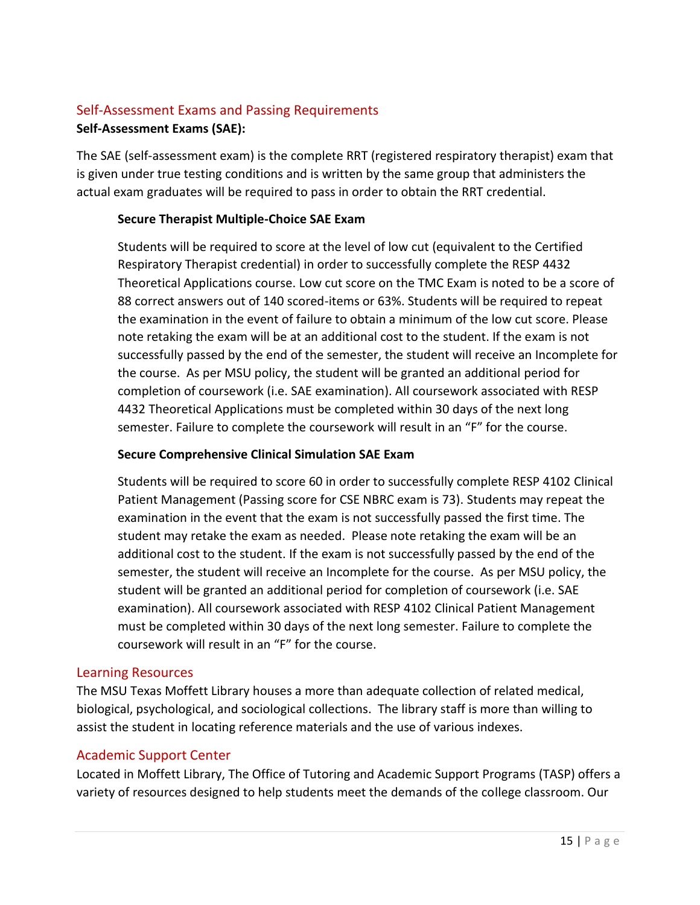### <span id="page-14-0"></span>Self-Assessment Exams and Passing Requirements

#### **Self-Assessment Exams (SAE):**

The SAE (self-assessment exam) is the complete RRT (registered respiratory therapist) exam that is given under true testing conditions and is written by the same group that administers the actual exam graduates will be required to pass in order to obtain the RRT credential.

#### **Secure Therapist Multiple-Choice SAE Exam**

Students will be required to score at the level of low cut (equivalent to the Certified Respiratory Therapist credential) in order to successfully complete the RESP 4432 Theoretical Applications course. Low cut score on the TMC Exam is noted to be a score of 88 correct answers out of 140 scored-items or 63%. Students will be required to repeat the examination in the event of failure to obtain a minimum of the low cut score. Please note retaking the exam will be at an additional cost to the student. If the exam is not successfully passed by the end of the semester, the student will receive an Incomplete for the course. As per MSU policy, the student will be granted an additional period for completion of coursework (i.e. SAE examination). All coursework associated with RESP 4432 Theoretical Applications must be completed within 30 days of the next long semester. Failure to complete the coursework will result in an "F" for the course.

#### **Secure Comprehensive Clinical Simulation SAE Exam**

Students will be required to score 60 in order to successfully complete RESP 4102 Clinical Patient Management (Passing score for CSE NBRC exam is 73). Students may repeat the examination in the event that the exam is not successfully passed the first time. The student may retake the exam as needed. Please note retaking the exam will be an additional cost to the student. If the exam is not successfully passed by the end of the semester, the student will receive an Incomplete for the course. As per MSU policy, the student will be granted an additional period for completion of coursework (i.e. SAE examination). All coursework associated with RESP 4102 Clinical Patient Management must be completed within 30 days of the next long semester. Failure to complete the coursework will result in an "F" for the course.

#### <span id="page-14-1"></span>Learning Resources

The MSU Texas Moffett Library houses a more than adequate collection of related medical, biological, psychological, and sociological collections. The library staff is more than willing to assist the student in locating reference materials and the use of various indexes.

#### <span id="page-14-2"></span>Academic Support Center

Located in Moffett Library, The Office of Tutoring and Academic Support Programs (TASP) offers a variety of resources designed to help students meet the demands of the college classroom. Our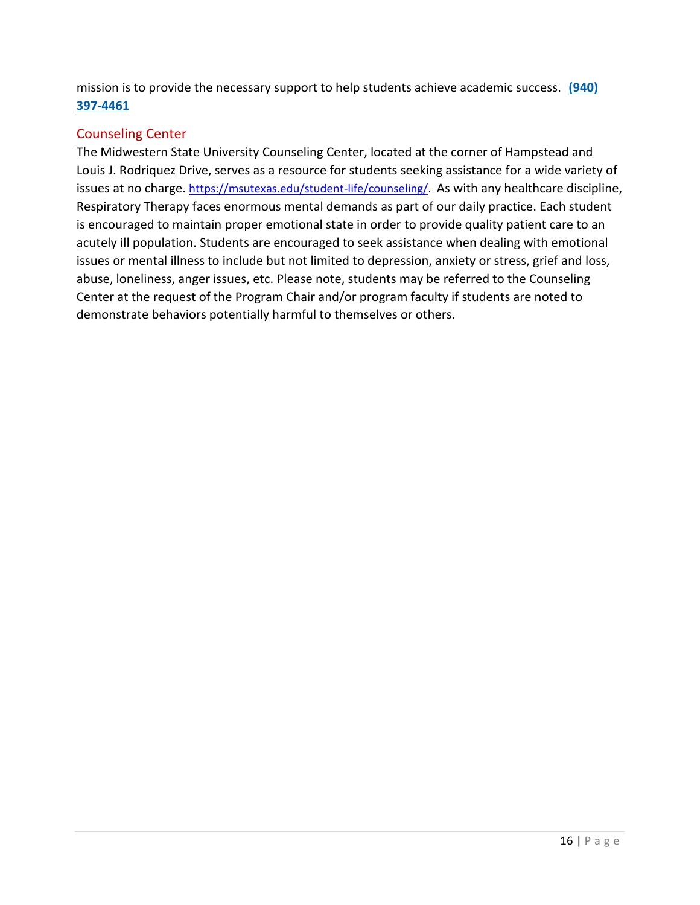mission is to provide the necessary support to help students achieve academic success. **[\(940\)](about:blank)  [397-4461](about:blank)**

#### <span id="page-15-0"></span>Counseling Center

The Midwestern State University Counseling Center, located at the corner of Hampstead and Louis J. Rodriquez Drive, serves as a resource for students seeking assistance for a wide variety of issues at no charge. [https://msutexas.edu/student-life/counseling/.](https://msutexas.edu/student-life/counseling/) As with any healthcare discipline, Respiratory Therapy faces enormous mental demands as part of our daily practice. Each student is encouraged to maintain proper emotional state in order to provide quality patient care to an acutely ill population. Students are encouraged to seek assistance when dealing with emotional issues or mental illness to include but not limited to depression, anxiety or stress, grief and loss, abuse, loneliness, anger issues, etc. Please note, students may be referred to the Counseling Center at the request of the Program Chair and/or program faculty if students are noted to demonstrate behaviors potentially harmful to themselves or others.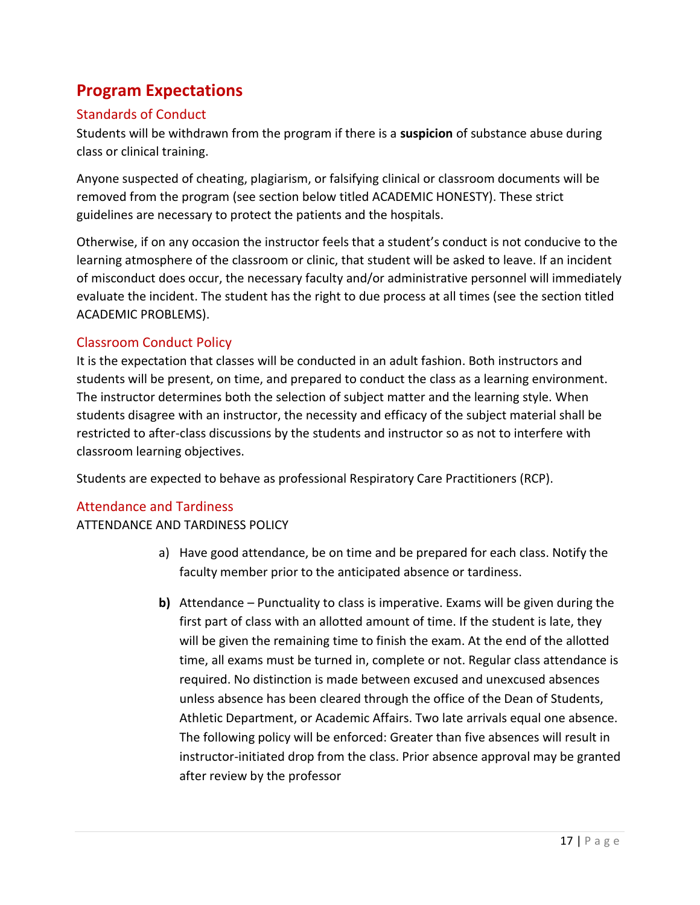### <span id="page-16-0"></span>**Program Expectations**

### <span id="page-16-1"></span>Standards of Conduct

Students will be withdrawn from the program if there is a **suspicion** of substance abuse during class or clinical training.

Anyone suspected of cheating, plagiarism, or falsifying clinical or classroom documents will be removed from the program (see section below titled ACADEMIC HONESTY). These strict guidelines are necessary to protect the patients and the hospitals.

Otherwise, if on any occasion the instructor feels that a student's conduct is not conducive to the learning atmosphere of the classroom or clinic, that student will be asked to leave. If an incident of misconduct does occur, the necessary faculty and/or administrative personnel will immediately evaluate the incident. The student has the right to due process at all times (see the section titled ACADEMIC PROBLEMS).

#### <span id="page-16-2"></span>Classroom Conduct Policy

It is the expectation that classes will be conducted in an adult fashion. Both instructors and students will be present, on time, and prepared to conduct the class as a learning environment. The instructor determines both the selection of subject matter and the learning style. When students disagree with an instructor, the necessity and efficacy of the subject material shall be restricted to after-class discussions by the students and instructor so as not to interfere with classroom learning objectives.

Students are expected to behave as professional Respiratory Care Practitioners (RCP).

#### <span id="page-16-3"></span>Attendance and Tardiness

ATTENDANCE AND TARDINESS POLICY

- a) Have good attendance, be on time and be prepared for each class. Notify the faculty member prior to the anticipated absence or tardiness.
- **b)** Attendance Punctuality to class is imperative. Exams will be given during the first part of class with an allotted amount of time. If the student is late, they will be given the remaining time to finish the exam. At the end of the allotted time, all exams must be turned in, complete or not. Regular class attendance is required. No distinction is made between excused and unexcused absences unless absence has been cleared through the office of the Dean of Students, Athletic Department, or Academic Affairs. Two late arrivals equal one absence. The following policy will be enforced: Greater than five absences will result in instructor-initiated drop from the class. Prior absence approval may be granted after review by the professor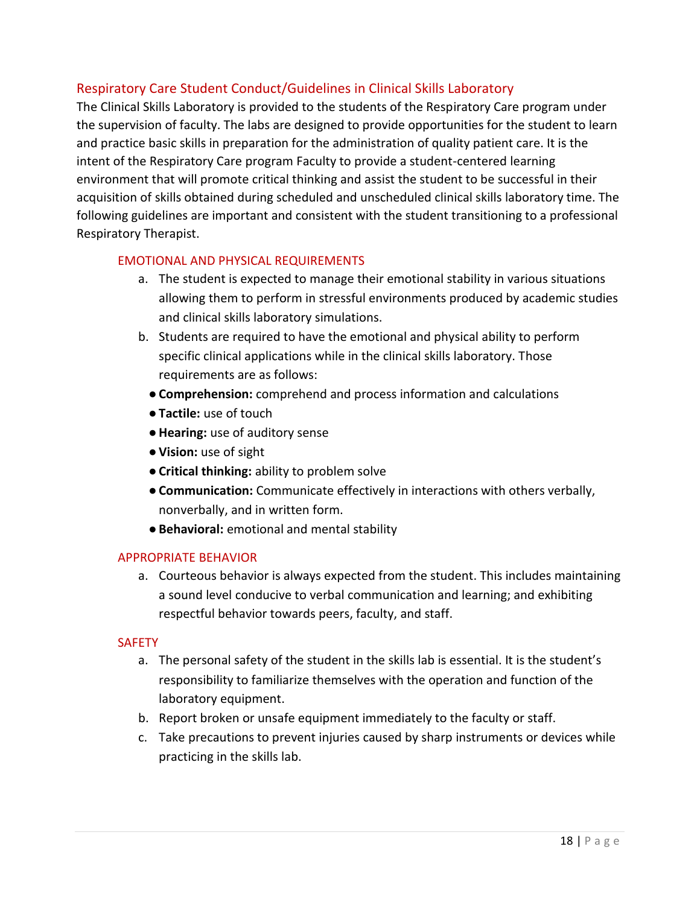#### <span id="page-17-0"></span>Respiratory Care Student Conduct/Guidelines in Clinical Skills Laboratory

The Clinical Skills Laboratory is provided to the students of the Respiratory Care program under the supervision of faculty. The labs are designed to provide opportunities for the student to learn and practice basic skills in preparation for the administration of quality patient care. It is the intent of the Respiratory Care program Faculty to provide a student-centered learning environment that will promote critical thinking and assist the student to be successful in their acquisition of skills obtained during scheduled and unscheduled clinical skills laboratory time. The following guidelines are important and consistent with the student transitioning to a professional Respiratory Therapist.

#### <span id="page-17-1"></span>EMOTIONAL AND PHYSICAL REQUIREMENTS

- a. The student is expected to manage their emotional stability in various situations allowing them to perform in stressful environments produced by academic studies and clinical skills laboratory simulations.
- b. Students are required to have the emotional and physical ability to perform specific clinical applications while in the clinical skills laboratory. Those requirements are as follows:
	- ●**Comprehension:** comprehend and process information and calculations
	- ●**Tactile:** use of touch
	- ●**Hearing:** use of auditory sense
	- ●**Vision:** use of sight
	- ●**Critical thinking:** ability to problem solve
	- ●**Communication:** Communicate effectively in interactions with others verbally, nonverbally, and in written form.
	- ●**Behavioral:** emotional and mental stability

#### <span id="page-17-2"></span>APPROPRIATE BEHAVIOR

a. Courteous behavior is always expected from the student. This includes maintaining a sound level conducive to verbal communication and learning; and exhibiting respectful behavior towards peers, faculty, and staff.

#### <span id="page-17-3"></span>**SAFETY**

- a. The personal safety of the student in the skills lab is essential. It is the student's responsibility to familiarize themselves with the operation and function of the laboratory equipment.
- b. Report broken or unsafe equipment immediately to the faculty or staff.
- c. Take precautions to prevent injuries caused by sharp instruments or devices while practicing in the skills lab.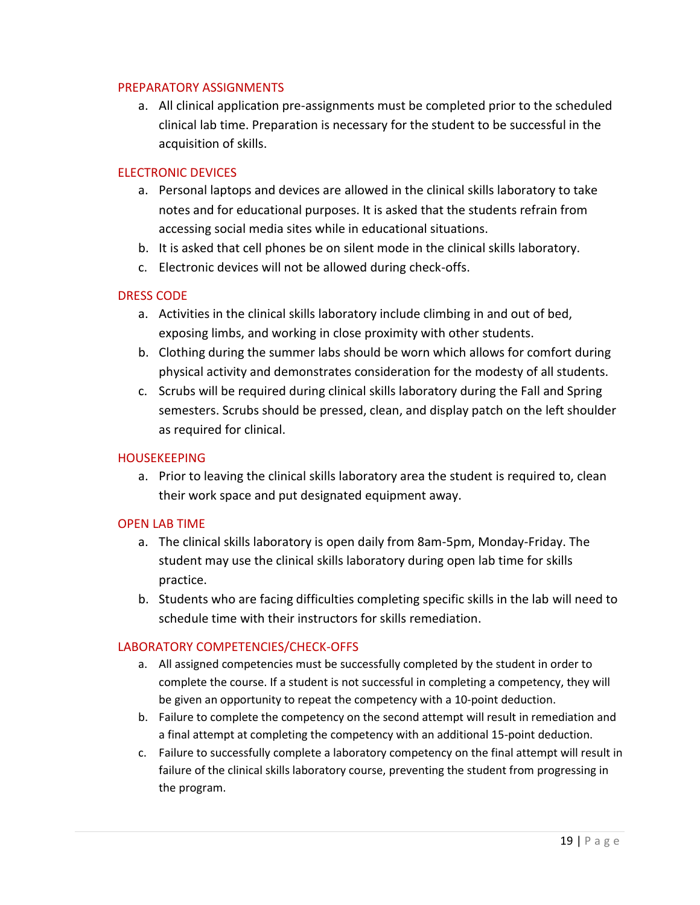#### <span id="page-18-0"></span>PREPARATORY ASSIGNMENTS

a. All clinical application pre-assignments must be completed prior to the scheduled clinical lab time. Preparation is necessary for the student to be successful in the acquisition of skills.

#### <span id="page-18-1"></span>ELECTRONIC DEVICES

- a. Personal laptops and devices are allowed in the clinical skills laboratory to take notes and for educational purposes. It is asked that the students refrain from accessing social media sites while in educational situations.
- b. It is asked that cell phones be on silent mode in the clinical skills laboratory.
- c. Electronic devices will not be allowed during check-offs.

#### <span id="page-18-2"></span>DRESS CODE

- a. Activities in the clinical skills laboratory include climbing in and out of bed, exposing limbs, and working in close proximity with other students.
- b. Clothing during the summer labs should be worn which allows for comfort during physical activity and demonstrates consideration for the modesty of all students.
- c. Scrubs will be required during clinical skills laboratory during the Fall and Spring semesters. Scrubs should be pressed, clean, and display patch on the left shoulder as required for clinical.

#### <span id="page-18-3"></span>**HOUSEKEEPING**

a. Prior to leaving the clinical skills laboratory area the student is required to, clean their work space and put designated equipment away.

#### <span id="page-18-4"></span>OPEN LAB TIME

- a. The clinical skills laboratory is open daily from 8am-5pm, Monday-Friday. The student may use the clinical skills laboratory during open lab time for skills practice.
- b. Students who are facing difficulties completing specific skills in the lab will need to schedule time with their instructors for skills remediation.

#### <span id="page-18-5"></span>LABORATORY COMPETENCIES/CHECK-OFFS

- a. All assigned competencies must be successfully completed by the student in order to complete the course. If a student is not successful in completing a competency, they will be given an opportunity to repeat the competency with a 10-point deduction.
- b. Failure to complete the competency on the second attempt will result in remediation and a final attempt at completing the competency with an additional 15-point deduction.
- c. Failure to successfully complete a laboratory competency on the final attempt will result in failure of the clinical skills laboratory course, preventing the student from progressing in the program.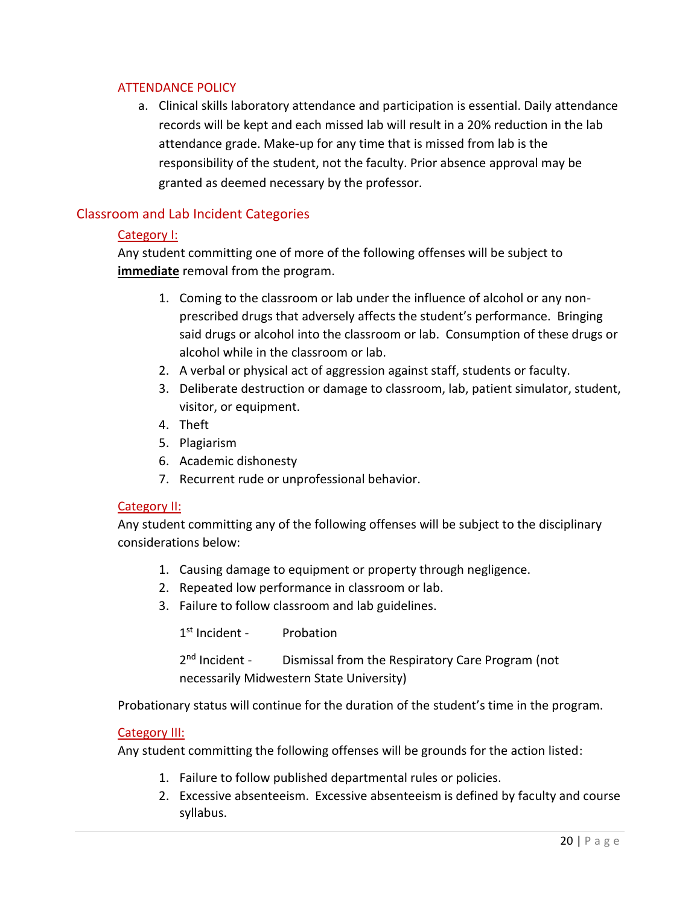#### <span id="page-19-0"></span>ATTENDANCE POLICY

a. Clinical skills laboratory attendance and participation is essential. Daily attendance records will be kept and each missed lab will result in a 20% reduction in the lab attendance grade. Make-up for any time that is missed from lab is the responsibility of the student, not the faculty. Prior absence approval may be granted as deemed necessary by the professor.

#### <span id="page-19-2"></span><span id="page-19-1"></span>Classroom and Lab Incident Categories

#### Category I:

Any student committing one of more of the following offenses will be subject to **immediate** removal from the program.

- 1. Coming to the classroom or lab under the influence of alcohol or any nonprescribed drugs that adversely affects the student's performance. Bringing said drugs or alcohol into the classroom or lab. Consumption of these drugs or alcohol while in the classroom or lab.
- 2. A verbal or physical act of aggression against staff, students or faculty.
- 3. Deliberate destruction or damage to classroom, lab, patient simulator, student, visitor, or equipment.
- 4. Theft
- 5. Plagiarism
- 6. Academic dishonesty
- 7. Recurrent rude or unprofessional behavior.

#### <span id="page-19-3"></span>Category II:

Any student committing any of the following offenses will be subject to the disciplinary considerations below:

- 1. Causing damage to equipment or property through negligence.
- 2. Repeated low performance in classroom or lab.
- 3. Failure to follow classroom and lab guidelines.

1<sup>st</sup> Incident - Probation

 $2<sup>nd</sup>$  Incident -Dismissal from the Respiratory Care Program (not necessarily Midwestern State University)

Probationary status will continue for the duration of the student's time in the program.

#### <span id="page-19-4"></span>Category III:

Any student committing the following offenses will be grounds for the action listed:

- 1. Failure to follow published departmental rules or policies.
- 2. Excessive absenteeism. Excessive absenteeism is defined by faculty and course syllabus.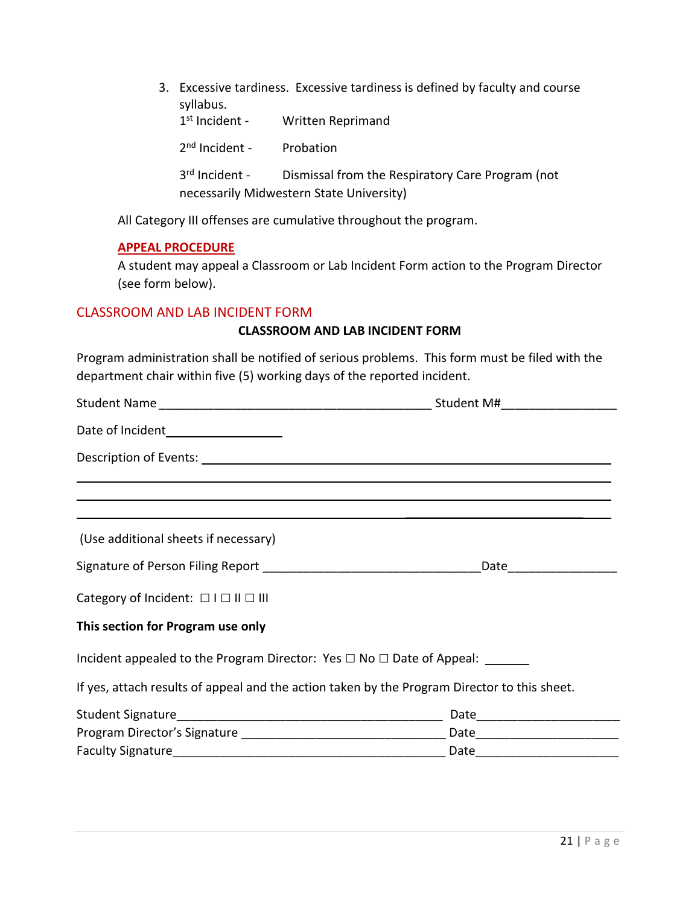| 3. Excessive tardiness. Excessive tardiness is defined by faculty and course<br>syllabus. |                  |                                                                                              |
|-------------------------------------------------------------------------------------------|------------------|----------------------------------------------------------------------------------------------|
|                                                                                           | $1st$ Incident - | Written Reprimand                                                                            |
|                                                                                           | $2nd$ Incident - | Probation                                                                                    |
|                                                                                           | $3rd$ Incident - | Dismissal from the Respiratory Care Program (not<br>necessarily Midwestern State University) |

All Category III offenses are cumulative throughout the program.

#### <span id="page-20-0"></span>**APPEAL PROCEDURE**

A student may appeal a Classroom or Lab Incident Form action to the Program Director (see form below).

#### <span id="page-20-1"></span>CLASSROOM AND LAB INCIDENT FORM

#### **CLASSROOM AND LAB INCIDENT FORM**

Program administration shall be notified of serious problems. This form must be filed with the department chair within five (5) working days of the reported incident.

| Date of Incident____________________                                                                                                                                 |  |
|----------------------------------------------------------------------------------------------------------------------------------------------------------------------|--|
|                                                                                                                                                                      |  |
| ,我们也不会有什么。""我们的人,我们也不会有什么?""我们的人,我们也不会有什么?""我们的人,我们也不会有什么?""我们的人,我们也不会有什么?""我们的人<br>,我们也不会有什么。""我们的人,我们也不会有什么?""我们的人,我们也不会有什么?""我们的人,我们也不会有什么?""我们的人,我们也不会有什么?""我们的人 |  |
| (Use additional sheets if necessary)                                                                                                                                 |  |
|                                                                                                                                                                      |  |
| Category of Incident: $\Box$ $\Box$ $\Box$ $\Box$ $\Box$                                                                                                             |  |
| This section for Program use only                                                                                                                                    |  |
| Incident appealed to the Program Director: Yes $\Box$ No $\Box$ Date of Appeal:                                                                                      |  |
| If yes, attach results of appeal and the action taken by the Program Director to this sheet.                                                                         |  |
|                                                                                                                                                                      |  |
|                                                                                                                                                                      |  |
|                                                                                                                                                                      |  |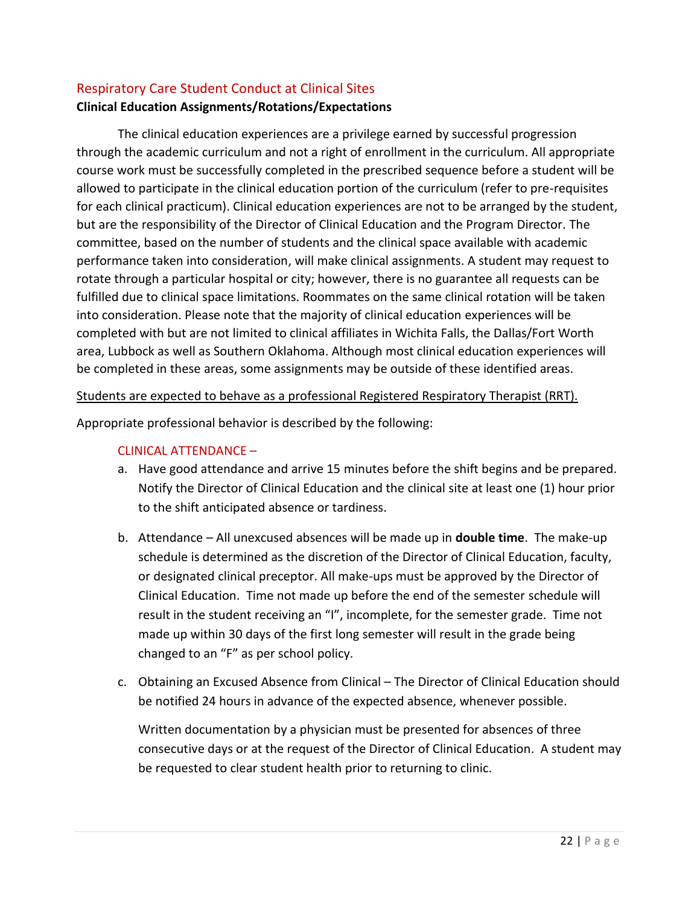#### <span id="page-21-0"></span>Respiratory Care Student Conduct at Clinical Sites

#### **Clinical Education Assignments/Rotations/Expectations**

The clinical education experiences are a privilege earned by successful progression through the academic curriculum and not a right of enrollment in the curriculum. All appropriate course work must be successfully completed in the prescribed sequence before a student will be allowed to participate in the clinical education portion of the curriculum (refer to pre-requisites for each clinical practicum). Clinical education experiences are not to be arranged by the student, but are the responsibility of the Director of Clinical Education and the Program Director. The committee, based on the number of students and the clinical space available with academic performance taken into consideration, will make clinical assignments. A student may request to rotate through a particular hospital or city; however, there is no guarantee all requests can be fulfilled due to clinical space limitations. Roommates on the same clinical rotation will be taken into consideration. Please note that the majority of clinical education experiences will be completed with but are not limited to clinical affiliates in Wichita Falls, the Dallas/Fort Worth area, Lubbock as well as Southern Oklahoma. Although most clinical education experiences will be completed in these areas, some assignments may be outside of these identified areas.

#### Students are expected to behave as a professional Registered Respiratory Therapist (RRT).

<span id="page-21-1"></span>Appropriate professional behavior is described by the following:

#### CLINICAL ATTENDANCE –

- a. Have good attendance and arrive 15 minutes before the shift begins and be prepared. Notify the Director of Clinical Education and the clinical site at least one (1) hour prior to the shift anticipated absence or tardiness.
- b. Attendance All unexcused absences will be made up in **double time**. The make-up schedule is determined as the discretion of the Director of Clinical Education, faculty, or designated clinical preceptor. All make-ups must be approved by the Director of Clinical Education. Time not made up before the end of the semester schedule will result in the student receiving an "I", incomplete, for the semester grade. Time not made up within 30 days of the first long semester will result in the grade being changed to an "F" as per school policy.
- c. Obtaining an Excused Absence from Clinical The Director of Clinical Education should be notified 24 hours in advance of the expected absence, whenever possible.

Written documentation by a physician must be presented for absences of three consecutive days or at the request of the Director of Clinical Education. A student may be requested to clear student health prior to returning to clinic.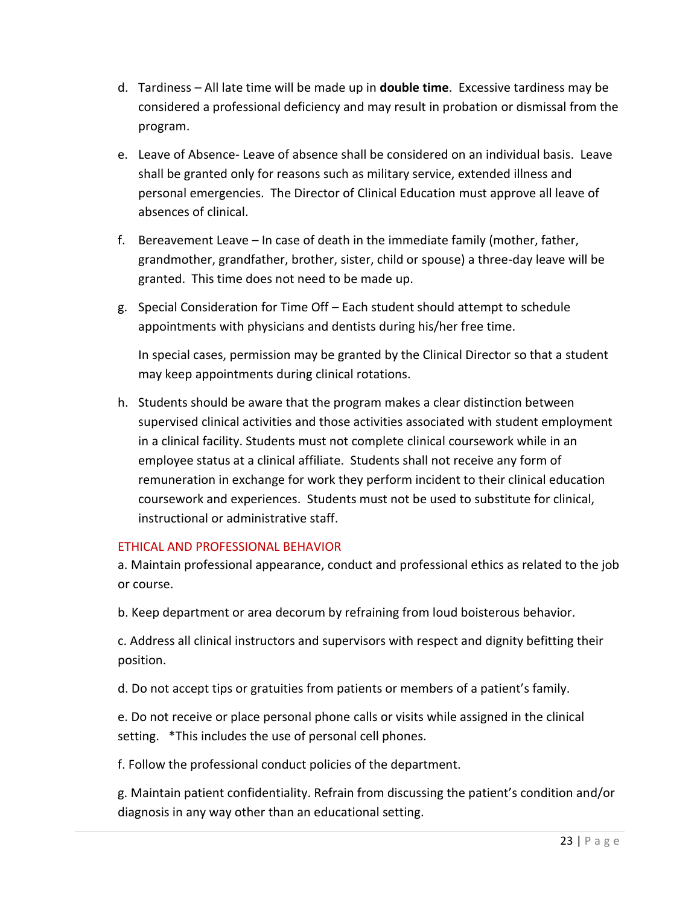- d. Tardiness All late time will be made up in **double time**. Excessive tardiness may be considered a professional deficiency and may result in probation or dismissal from the program.
- e. Leave of Absence- Leave of absence shall be considered on an individual basis. Leave shall be granted only for reasons such as military service, extended illness and personal emergencies. The Director of Clinical Education must approve all leave of absences of clinical.
- f. Bereavement Leave In case of death in the immediate family (mother, father, grandmother, grandfather, brother, sister, child or spouse) a three-day leave will be granted. This time does not need to be made up.
- g. Special Consideration for Time Off Each student should attempt to schedule appointments with physicians and dentists during his/her free time.

In special cases, permission may be granted by the Clinical Director so that a student may keep appointments during clinical rotations.

h. Students should be aware that the program makes a clear distinction between supervised clinical activities and those activities associated with student employment in a clinical facility. Students must not complete clinical coursework while in an employee status at a clinical affiliate. Students shall not receive any form of remuneration in exchange for work they perform incident to their clinical education coursework and experiences. Students must not be used to substitute for clinical, instructional or administrative staff.

#### <span id="page-22-0"></span>ETHICAL AND PROFESSIONAL BEHAVIOR

a. Maintain professional appearance, conduct and professional ethics as related to the job or course.

b. Keep department or area decorum by refraining from loud boisterous behavior.

c. Address all clinical instructors and supervisors with respect and dignity befitting their position.

d. Do not accept tips or gratuities from patients or members of a patient's family.

e. Do not receive or place personal phone calls or visits while assigned in the clinical setting. \*This includes the use of personal cell phones.

f. Follow the professional conduct policies of the department.

g. Maintain patient confidentiality. Refrain from discussing the patient's condition and/or diagnosis in any way other than an educational setting.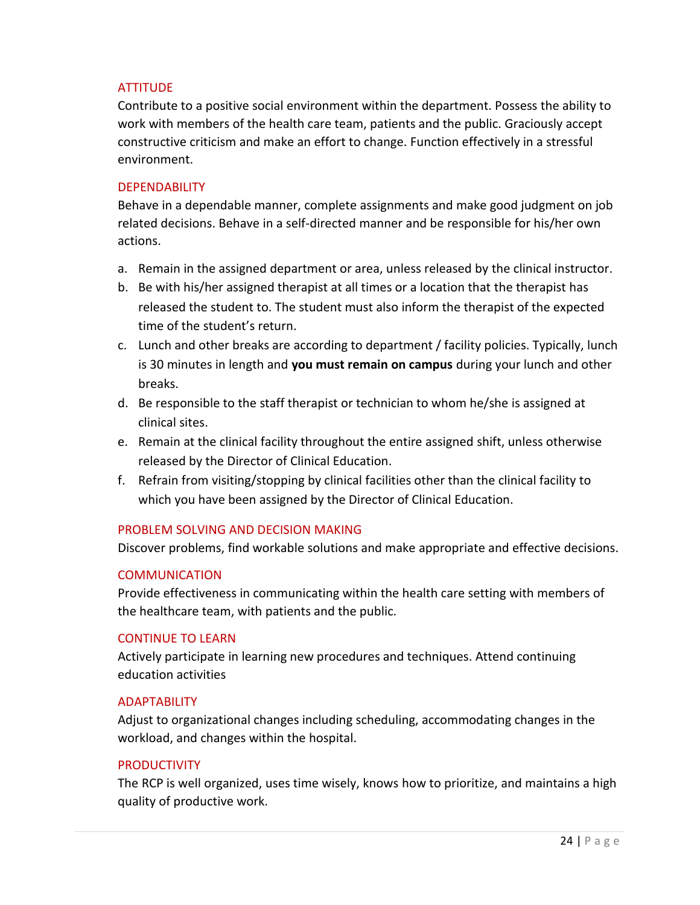#### <span id="page-23-0"></span>**ATTITUDE**

Contribute to a positive social environment within the department. Possess the ability to work with members of the health care team, patients and the public. Graciously accept constructive criticism and make an effort to change. Function effectively in a stressful environment.

#### <span id="page-23-1"></span>**DEPENDABILITY**

Behave in a dependable manner, complete assignments and make good judgment on job related decisions. Behave in a self-directed manner and be responsible for his/her own actions.

- a. Remain in the assigned department or area, unless released by the clinical instructor.
- b. Be with his/her assigned therapist at all times or a location that the therapist has released the student to. The student must also inform the therapist of the expected time of the student's return.
- c. Lunch and other breaks are according to department / facility policies. Typically, lunch is 30 minutes in length and **you must remain on campus** during your lunch and other breaks.
- d. Be responsible to the staff therapist or technician to whom he/she is assigned at clinical sites.
- e. Remain at the clinical facility throughout the entire assigned shift, unless otherwise released by the Director of Clinical Education.
- f. Refrain from visiting/stopping by clinical facilities other than the clinical facility to which you have been assigned by the Director of Clinical Education.

#### <span id="page-23-2"></span>PROBLEM SOLVING AND DECISION MAKING

Discover problems, find workable solutions and make appropriate and effective decisions.

#### <span id="page-23-3"></span>**COMMUNICATION**

Provide effectiveness in communicating within the health care setting with members of the healthcare team, with patients and the public.

#### <span id="page-23-4"></span>CONTINUE TO LEARN

Actively participate in learning new procedures and techniques. Attend continuing education activities

#### <span id="page-23-5"></span>ADAPTABILITY

Adjust to organizational changes including scheduling, accommodating changes in the workload, and changes within the hospital.

#### <span id="page-23-6"></span>**PRODUCTIVITY**

The RCP is well organized, uses time wisely, knows how to prioritize, and maintains a high quality of productive work.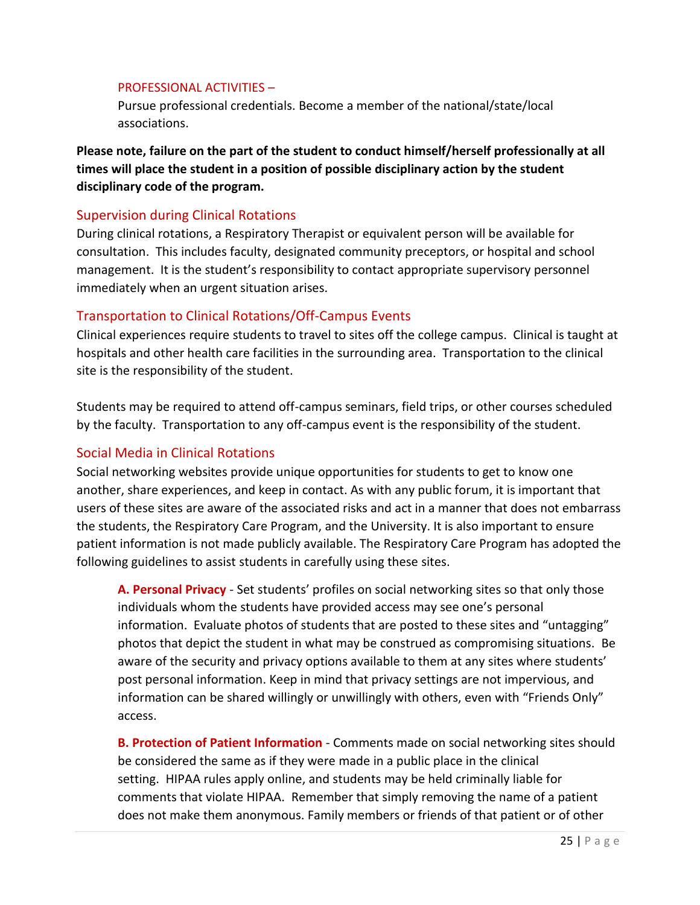#### <span id="page-24-0"></span>PROFESSIONAL ACTIVITIES –

Pursue professional credentials. Become a member of the national/state/local associations.

**Please note, failure on the part of the student to conduct himself/herself professionally at all times will place the student in a position of possible disciplinary action by the student disciplinary code of the program.** 

#### <span id="page-24-1"></span>Supervision during Clinical Rotations

During clinical rotations, a Respiratory Therapist or equivalent person will be available for consultation. This includes faculty, designated community preceptors, or hospital and school management. It is the student's responsibility to contact appropriate supervisory personnel immediately when an urgent situation arises.

#### <span id="page-24-2"></span>Transportation to Clinical Rotations/Off-Campus Events

Clinical experiences require students to travel to sites off the college campus. Clinical is taught at hospitals and other health care facilities in the surrounding area. Transportation to the clinical site is the responsibility of the student.

Students may be required to attend off-campus seminars, field trips, or other courses scheduled by the faculty. Transportation to any off-campus event is the responsibility of the student.

#### <span id="page-24-3"></span>Social Media in Clinical Rotations

Social networking websites provide unique opportunities for students to get to know one another, share experiences, and keep in contact. As with any public forum, it is important that users of these sites are aware of the associated risks and act in a manner that does not embarrass the students, the Respiratory Care Program, and the University. It is also important to ensure patient information is not made publicly available. The Respiratory Care Program has adopted the following guidelines to assist students in carefully using these sites.

<span id="page-24-4"></span>**A. Personal Privacy** - Set students' profiles on social networking sites so that only those individuals whom the students have provided access may see one's personal information. Evaluate photos of students that are posted to these sites and "untagging" photos that depict the student in what may be construed as compromising situations. Be aware of the security and privacy options available to them at any sites where students' post personal information. Keep in mind that privacy settings are not impervious, and information can be shared willingly or unwillingly with others, even with "Friends Only" access.

<span id="page-24-5"></span>**B. Protection of Patient Information** - Comments made on social networking sites should be considered the same as if they were made in a public place in the clinical setting. HIPAA rules apply online, and students may be held criminally liable for comments that violate HIPAA. Remember that simply removing the name of a patient does not make them anonymous. Family members or friends of that patient or of other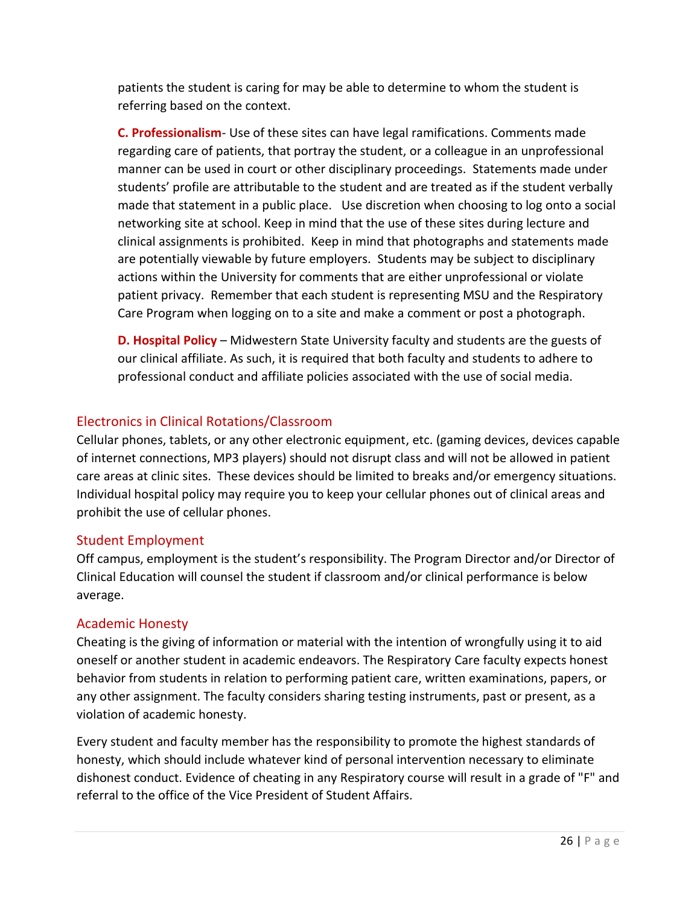patients the student is caring for may be able to determine to whom the student is referring based on the context.

<span id="page-25-0"></span>**C. Professionalism**- Use of these sites can have legal ramifications. Comments made regarding care of patients, that portray the student, or a colleague in an unprofessional manner can be used in court or other disciplinary proceedings. Statements made under students' profile are attributable to the student and are treated as if the student verbally made that statement in a public place. Use discretion when choosing to log onto a social networking site at school. Keep in mind that the use of these sites during lecture and clinical assignments is prohibited. Keep in mind that photographs and statements made are potentially viewable by future employers. Students may be subject to disciplinary actions within the University for comments that are either unprofessional or violate patient privacy. Remember that each student is representing MSU and the Respiratory Care Program when logging on to a site and make a comment or post a photograph.

<span id="page-25-1"></span>**D. Hospital Policy** – Midwestern State University faculty and students are the guests of our clinical affiliate. As such, it is required that both faculty and students to adhere to professional conduct and affiliate policies associated with the use of social media.

#### <span id="page-25-2"></span>Electronics in Clinical Rotations/Classroom

Cellular phones, tablets, or any other electronic equipment, etc. (gaming devices, devices capable of internet connections, MP3 players) should not disrupt class and will not be allowed in patient care areas at clinic sites. These devices should be limited to breaks and/or emergency situations. Individual hospital policy may require you to keep your cellular phones out of clinical areas and prohibit the use of cellular phones.

#### <span id="page-25-3"></span>Student Employment

Off campus, employment is the student's responsibility. The Program Director and/or Director of Clinical Education will counsel the student if classroom and/or clinical performance is below average.

#### <span id="page-25-4"></span>Academic Honesty

Cheating is the giving of information or material with the intention of wrongfully using it to aid oneself or another student in academic endeavors. The Respiratory Care faculty expects honest behavior from students in relation to performing patient care, written examinations, papers, or any other assignment. The faculty considers sharing testing instruments, past or present, as a violation of academic honesty.

Every student and faculty member has the responsibility to promote the highest standards of honesty, which should include whatever kind of personal intervention necessary to eliminate dishonest conduct. Evidence of cheating in any Respiratory course will result in a grade of "F" and referral to the office of the Vice President of Student Affairs.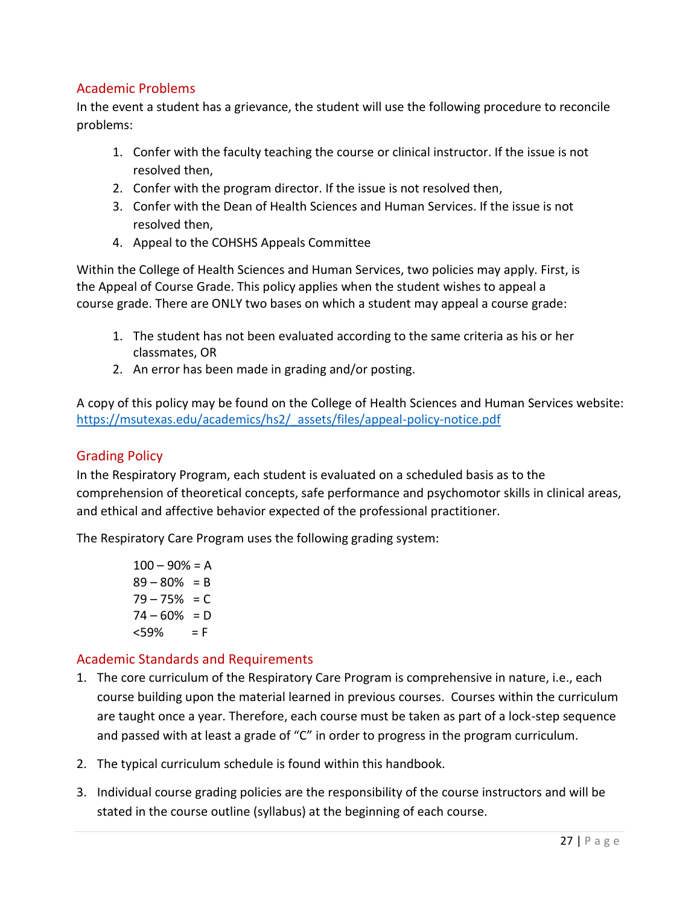#### <span id="page-26-0"></span>Academic Problems

In the event a student has a grievance, the student will use the following procedure to reconcile problems:

- 1. Confer with the faculty teaching the course or clinical instructor. If the issue is not resolved then,
- 2. Confer with the program director. If the issue is not resolved then,
- 3. Confer with the Dean of Health Sciences and Human Services. If the issue is not resolved then,
- 4. Appeal to the COHSHS Appeals Committee

Within the College of Health Sciences and Human Services, two policies may apply. First, is the Appeal of Course Grade. This policy applies when the student wishes to appeal a course grade. There are ONLY two bases on which a student may appeal a course grade:

- 1. The student has not been evaluated according to the same criteria as his or her classmates, OR
- 2. An error has been made in grading and/or posting.

A copy of this policy may be found on the College of Health Sciences and Human Services website: [https://msutexas.edu/academics/hs2/\\_assets/files/appeal-policy-notice.pdf](https://msutexas.edu/academics/hs2/_assets/files/appeal-policy-notice.pdf)

#### <span id="page-26-1"></span>Grading Policy

In the Respiratory Program, each student is evaluated on a scheduled basis as to the comprehension of theoretical concepts, safe performance and psychomotor skills in clinical areas, and ethical and affective behavior expected of the professional practitioner.

The Respiratory Care Program uses the following grading system:

 $100 - 90% = A$  $89 - 80\% = B$  $79 - 75\% = C$  $74 - 60\% = D$  $<$ 59% = F

#### <span id="page-26-2"></span>Academic Standards and Requirements

- 1. The core curriculum of the Respiratory Care Program is comprehensive in nature, i.e., each course building upon the material learned in previous courses. Courses within the curriculum are taught once a year. Therefore, each course must be taken as part of a lock-step sequence and passed with at least a grade of "C" in order to progress in the program curriculum.
- 2. The typical curriculum schedule is found within this handbook.
- 3. Individual course grading policies are the responsibility of the course instructors and will be stated in the course outline (syllabus) at the beginning of each course.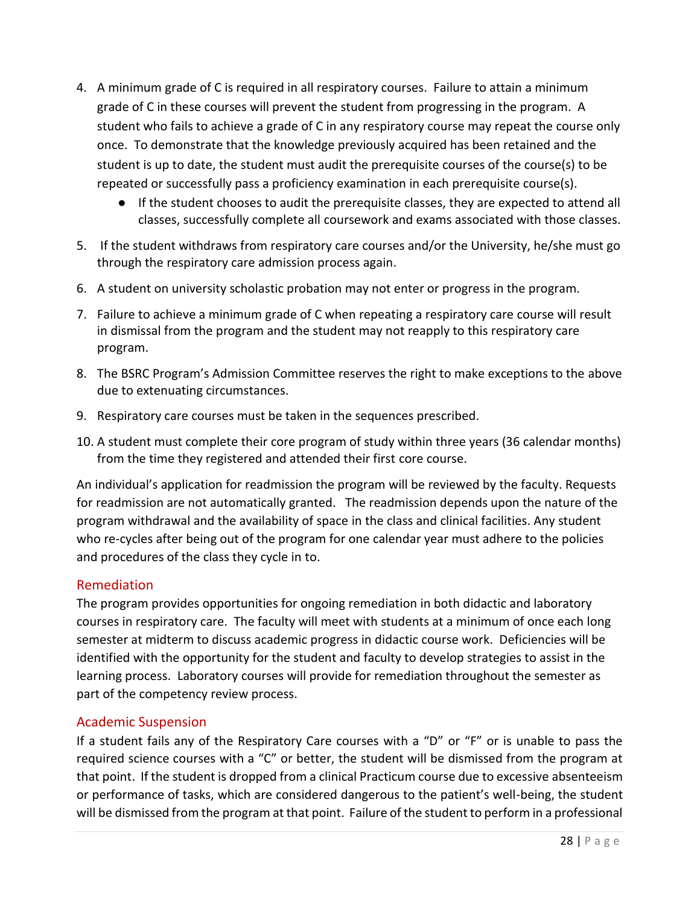- 4. A minimum grade of C is required in all respiratory courses. Failure to attain a minimum grade of C in these courses will prevent the student from progressing in the program. A student who fails to achieve a grade of C in any respiratory course may repeat the course only once. To demonstrate that the knowledge previously acquired has been retained and the student is up to date, the student must audit the prerequisite courses of the course(s) to be repeated or successfully pass a proficiency examination in each prerequisite course(s).
	- If the student chooses to audit the prerequisite classes, they are expected to attend all classes, successfully complete all coursework and exams associated with those classes.
- 5. If the student withdraws from respiratory care courses and/or the University, he/she must go through the respiratory care admission process again.
- 6. A student on university scholastic probation may not enter or progress in the program.
- 7. Failure to achieve a minimum grade of C when repeating a respiratory care course will result in dismissal from the program and the student may not reapply to this respiratory care program.
- 8. The BSRC Program's Admission Committee reserves the right to make exceptions to the above due to extenuating circumstances.
- 9. Respiratory care courses must be taken in the sequences prescribed.
- 10. A student must complete their core program of study within three years (36 calendar months) from the time they registered and attended their first core course.

An individual's application for readmission the program will be reviewed by the faculty. Requests for readmission are not automatically granted. The readmission depends upon the nature of the program withdrawal and the availability of space in the class and clinical facilities. Any student who re-cycles after being out of the program for one calendar year must adhere to the policies and procedures of the class they cycle in to.

#### <span id="page-27-0"></span>Remediation

The program provides opportunities for ongoing remediation in both didactic and laboratory courses in respiratory care. The faculty will meet with students at a minimum of once each long semester at midterm to discuss academic progress in didactic course work. Deficiencies will be identified with the opportunity for the student and faculty to develop strategies to assist in the learning process. Laboratory courses will provide for remediation throughout the semester as part of the competency review process.

#### <span id="page-27-1"></span>Academic Suspension

If a student fails any of the Respiratory Care courses with a "D" or "F" or is unable to pass the required science courses with a "C" or better, the student will be dismissed from the program at that point. If the student is dropped from a clinical Practicum course due to excessive absenteeism or performance of tasks, which are considered dangerous to the patient's well-being, the student will be dismissed from the program at that point. Failure of the student to perform in a professional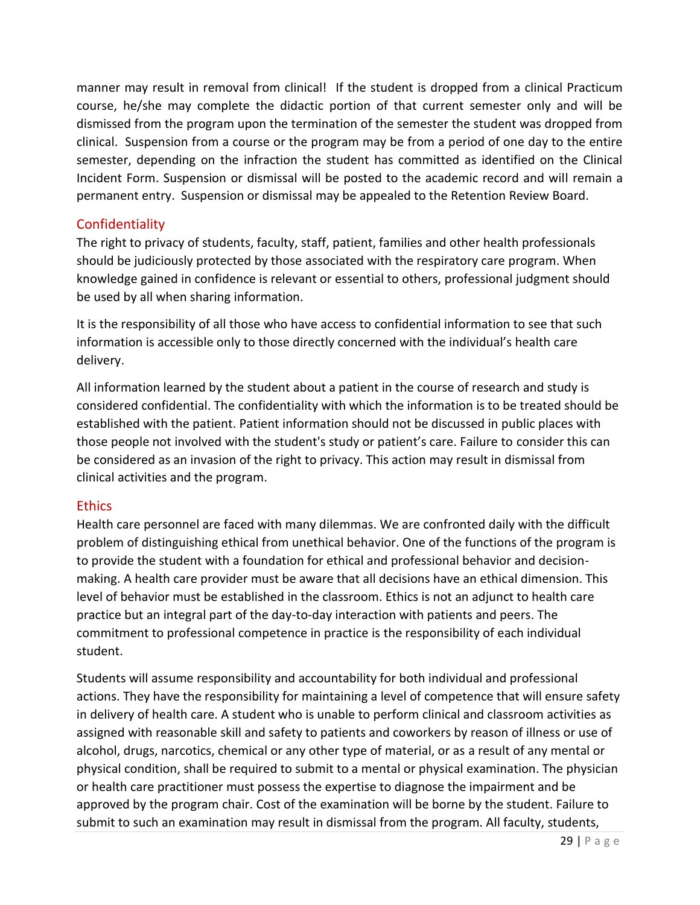manner may result in removal from clinical! If the student is dropped from a clinical Practicum course, he/she may complete the didactic portion of that current semester only and will be dismissed from the program upon the termination of the semester the student was dropped from clinical. Suspension from a course or the program may be from a period of one day to the entire semester, depending on the infraction the student has committed as identified on the Clinical Incident Form. Suspension or dismissal will be posted to the academic record and will remain a permanent entry. Suspension or dismissal may be appealed to the Retention Review Board.

#### <span id="page-28-0"></span>**Confidentiality**

The right to privacy of students, faculty, staff, patient, families and other health professionals should be judiciously protected by those associated with the respiratory care program. When knowledge gained in confidence is relevant or essential to others, professional judgment should be used by all when sharing information.

It is the responsibility of all those who have access to confidential information to see that such information is accessible only to those directly concerned with the individual's health care delivery.

All information learned by the student about a patient in the course of research and study is considered confidential. The confidentiality with which the information is to be treated should be established with the patient. Patient information should not be discussed in public places with those people not involved with the student's study or patient's care. Failure to consider this can be considered as an invasion of the right to privacy. This action may result in dismissal from clinical activities and the program.

#### <span id="page-28-1"></span>**Ethics**

Health care personnel are faced with many dilemmas. We are confronted daily with the difficult problem of distinguishing ethical from unethical behavior. One of the functions of the program is to provide the student with a foundation for ethical and professional behavior and decisionmaking. A health care provider must be aware that all decisions have an ethical dimension. This level of behavior must be established in the classroom. Ethics is not an adjunct to health care practice but an integral part of the day-to-day interaction with patients and peers. The commitment to professional competence in practice is the responsibility of each individual student.

Students will assume responsibility and accountability for both individual and professional actions. They have the responsibility for maintaining a level of competence that will ensure safety in delivery of health care. A student who is unable to perform clinical and classroom activities as assigned with reasonable skill and safety to patients and coworkers by reason of illness or use of alcohol, drugs, narcotics, chemical or any other type of material, or as a result of any mental or physical condition, shall be required to submit to a mental or physical examination. The physician or health care practitioner must possess the expertise to diagnose the impairment and be approved by the program chair. Cost of the examination will be borne by the student. Failure to submit to such an examination may result in dismissal from the program. All faculty, students,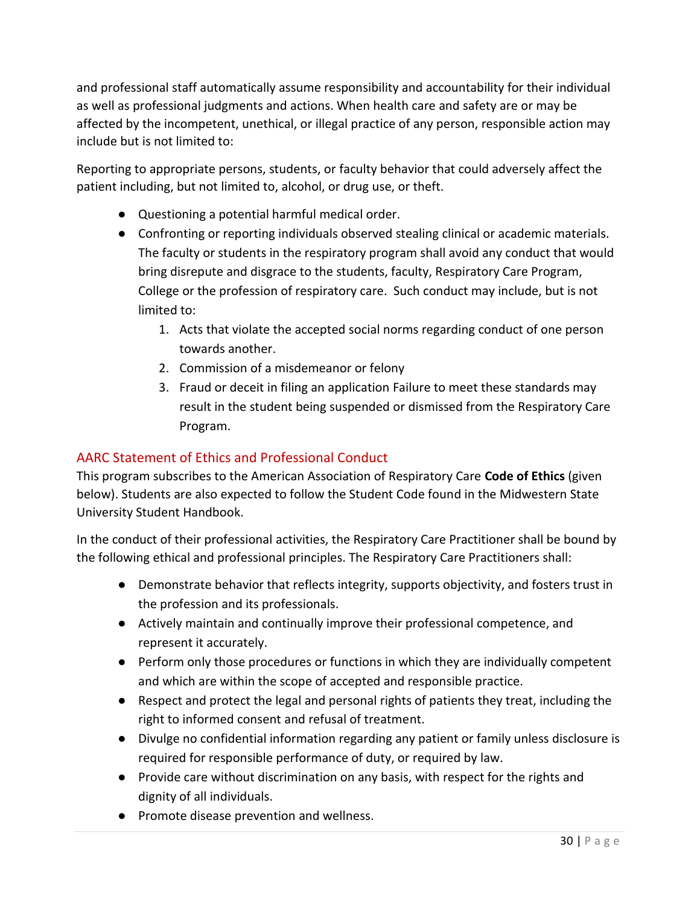and professional staff automatically assume responsibility and accountability for their individual as well as professional judgments and actions. When health care and safety are or may be affected by the incompetent, unethical, or illegal practice of any person, responsible action may include but is not limited to:

Reporting to appropriate persons, students, or faculty behavior that could adversely affect the patient including, but not limited to, alcohol, or drug use, or theft.

- Questioning a potential harmful medical order.
- Confronting or reporting individuals observed stealing clinical or academic materials. The faculty or students in the respiratory program shall avoid any conduct that would bring disrepute and disgrace to the students, faculty, Respiratory Care Program, College or the profession of respiratory care. Such conduct may include, but is not limited to:
	- 1. Acts that violate the accepted social norms regarding conduct of one person towards another.
	- 2. Commission of a misdemeanor or felony
	- 3. Fraud or deceit in filing an application Failure to meet these standards may result in the student being suspended or dismissed from the Respiratory Care Program.

#### <span id="page-29-0"></span>AARC Statement of Ethics and Professional Conduct

This program subscribes to the American Association of Respiratory Care **Code of Ethics** (given below). Students are also expected to follow the Student Code found in the Midwestern State University Student Handbook.

In the conduct of their professional activities, the Respiratory Care Practitioner shall be bound by the following ethical and professional principles. The Respiratory Care Practitioners shall:

- Demonstrate behavior that reflects integrity, supports objectivity, and fosters trust in the profession and its professionals.
- Actively maintain and continually improve their professional competence, and represent it accurately.
- Perform only those procedures or functions in which they are individually competent and which are within the scope of accepted and responsible practice.
- Respect and protect the legal and personal rights of patients they treat, including the right to informed consent and refusal of treatment.
- Divulge no confidential information regarding any patient or family unless disclosure is required for responsible performance of duty, or required by law.
- Provide care without discrimination on any basis, with respect for the rights and dignity of all individuals.
- Promote disease prevention and wellness.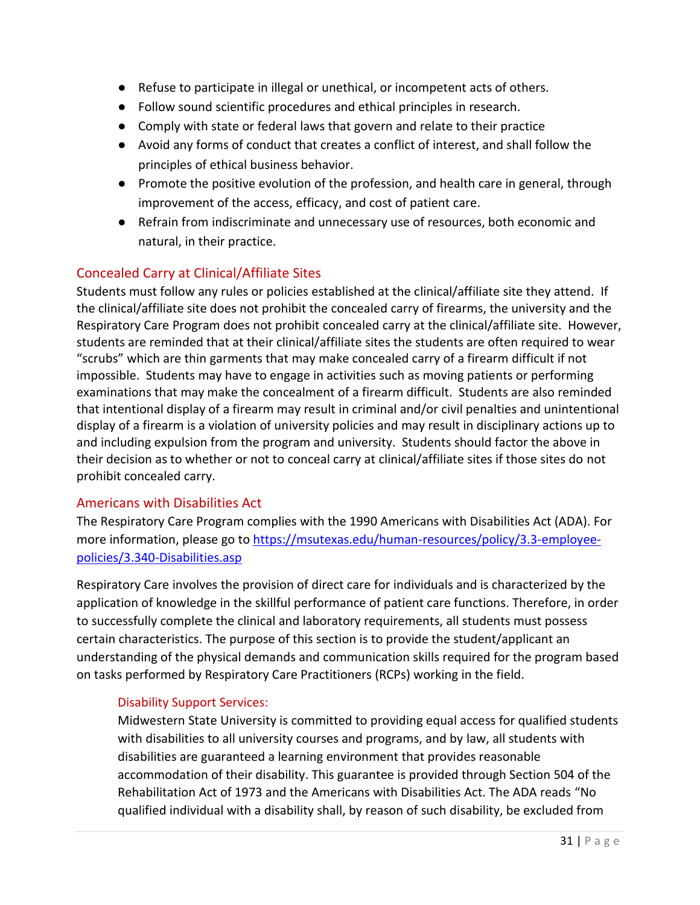- Refuse to participate in illegal or unethical, or incompetent acts of others.
- Follow sound scientific procedures and ethical principles in research.
- Comply with state or federal laws that govern and relate to their practice
- Avoid any forms of conduct that creates a conflict of interest, and shall follow the principles of ethical business behavior.
- Promote the positive evolution of the profession, and health care in general, through improvement of the access, efficacy, and cost of patient care.
- Refrain from indiscriminate and unnecessary use of resources, both economic and natural, in their practice.

#### <span id="page-30-0"></span>Concealed Carry at Clinical/Affiliate Sites

Students must follow any rules or policies established at the clinical/affiliate site they attend. If the clinical/affiliate site does not prohibit the concealed carry of firearms, the university and the Respiratory Care Program does not prohibit concealed carry at the clinical/affiliate site. However, students are reminded that at their clinical/affiliate sites the students are often required to wear "scrubs" which are thin garments that may make concealed carry of a firearm difficult if not impossible. Students may have to engage in activities such as moving patients or performing examinations that may make the concealment of a firearm difficult. Students are also reminded that intentional display of a firearm may result in criminal and/or civil penalties and unintentional display of a firearm is a violation of university policies and may result in disciplinary actions up to and including expulsion from the program and university. Students should factor the above in their decision as to whether or not to conceal carry at clinical/affiliate sites if those sites do not prohibit concealed carry.

#### <span id="page-30-1"></span>Americans with Disabilities Act

The Respiratory Care Program complies with the 1990 Americans with Disabilities Act (ADA). For more information, please go to [https://msutexas.edu/human-resources/policy/3.3-employee](https://msutexas.edu/human-resources/policy/3.3-employee-policies/3.340-Disabilities.asp)[policies/3.340-Disabilities.asp](https://msutexas.edu/human-resources/policy/3.3-employee-policies/3.340-Disabilities.asp)

Respiratory Care involves the provision of direct care for individuals and is characterized by the application of knowledge in the skillful performance of patient care functions. Therefore, in order to successfully complete the clinical and laboratory requirements, all students must possess certain characteristics. The purpose of this section is to provide the student/applicant an understanding of the physical demands and communication skills required for the program based on tasks performed by Respiratory Care Practitioners (RCPs) working in the field.

#### <span id="page-30-2"></span>Disability Support Services:

Midwestern State University is committed to providing equal access for qualified students with disabilities to all university courses and programs, and by law, all students with disabilities are guaranteed a learning environment that provides reasonable accommodation of their disability. This guarantee is provided through Section 504 of the Rehabilitation Act of 1973 and the Americans with Disabilities Act. The ADA reads "No qualified individual with a disability shall, by reason of such disability, be excluded from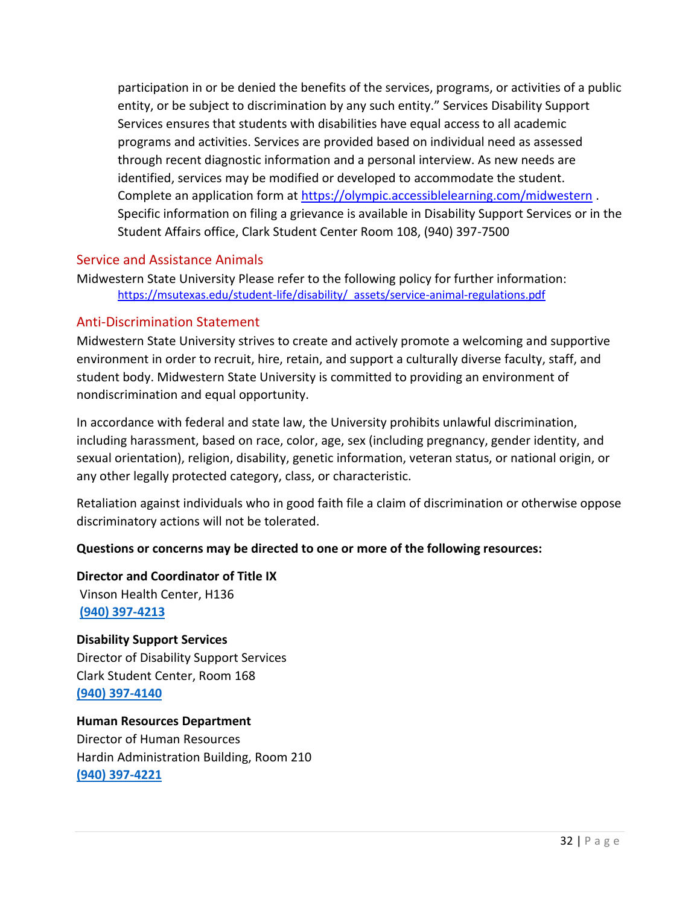participation in or be denied the benefits of the services, programs, or activities of a public entity, or be subject to discrimination by any such entity." Services Disability Support Services ensures that students with disabilities have equal access to all academic programs and activities. Services are provided based on individual need as assessed through recent diagnostic information and a personal interview. As new needs are identified, services may be modified or developed to accommodate the student. Complete an application form at<https://olympic.accessiblelearning.com/midwestern> . Specific information on filing a grievance is available in Disability Support Services or in the Student Affairs office, Clark Student Center Room 108, (940) 397-7500

#### <span id="page-31-0"></span>Service and Assistance Animals

Midwestern State University Please refer to the following policy for further information: [https://msutexas.edu/student-life/disability/\\_assets/service-animal-regulations.pdf](https://msutexas.edu/student-life/disability/_assets/service-animal-regulations.pdf)

#### <span id="page-31-1"></span>Anti-Discrimination Statement

Midwestern State University strives to create and actively promote a welcoming and supportive environment in order to recruit, hire, retain, and support a culturally diverse faculty, staff, and student body. Midwestern State University is committed to providing an environment of nondiscrimination and equal opportunity.

In accordance with federal and state law, the University prohibits unlawful discrimination, including harassment, based on race, color, age, sex (including pregnancy, gender identity, and sexual orientation), religion, disability, genetic information, veteran status, or national origin, or any other legally protected category, class, or characteristic.

Retaliation against individuals who in good faith file a claim of discrimination or otherwise oppose discriminatory actions will not be tolerated.

#### **Questions or concerns may be directed to one or more of the following resources:**

**Director and Coordinator of Title IX** Vinson Health Center, H136 **[\(940\) 397-4213](about:blank)**

#### **Disability Support Services**

Director of Disability Support Services Clark Student Center, Room 168 **[\(940\) 397-4140](about:blank)**

**Human Resources Department** Director of Human Resources Hardin Administration Building, Room 210 **[\(940\) 397-4221](about:blank)**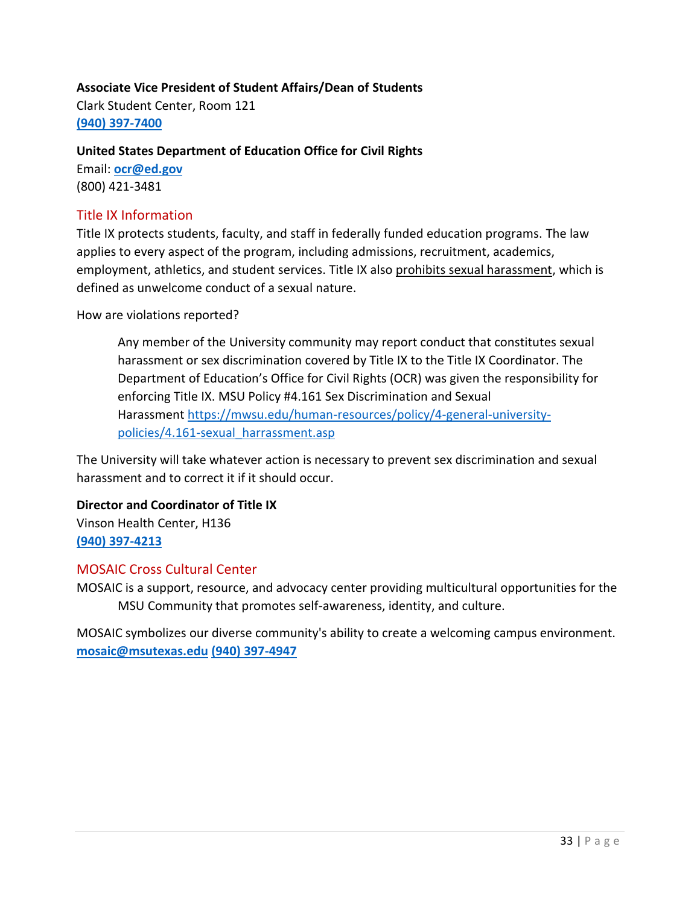#### **Associate Vice President of Student Affairs/Dean of Students**

Clark Student Center, Room 121 **[\(940\) 397-7400](about:blank)**

#### **United States Department of Education Office for Civil Rights**

Email: **[ocr@ed.gov](mailto:ocr@ed.gov)** (800) 421-3481

#### <span id="page-32-0"></span>Title IX Information

Title IX protects students, faculty, and staff in federally funded education programs. The law applies to every aspect of the program, including admissions, recruitment, academics, employment, athletics, and student services. Title IX also prohibits sexual harassment, which is defined as unwelcome conduct of a sexual nature.

How are violations reported?

Any member of the University community may report conduct that constitutes sexual harassment or sex discrimination covered by Title IX to the Title IX Coordinator. The Department of Education's Office for Civil Rights (OCR) was given the responsibility for enforcing Title IX. MSU Policy #4.161 Sex Discrimination and Sexual Harassment [https://mwsu.edu/human-resources/policy/4-general-university](https://mwsu.edu/humanresources/policy/4-general-university-policies/4.161-sexual_harrassment.asp)[policies/4.161-sexual\\_harrassment.asp](https://mwsu.edu/humanresources/policy/4-general-university-policies/4.161-sexual_harrassment.asp)

The University will take whatever action is necessary to prevent sex discrimination and sexual harassment and to correct it if it should occur.

### **Director and Coordinator of Title IX** Vinson Health Center, H136

**[\(940\) 397-4213](about:blank)**

#### <span id="page-32-1"></span>MOSAIC Cross Cultural Center

MOSAIC is a support, resource, and advocacy center providing multicultural opportunities for the MSU Community that promotes self-awareness, identity, and culture.

MOSAIC symbolizes our diverse community's ability to create a welcoming campus environment. **[mosaic@msutexas.edu](mailto:mosaic@msutexas.edu) [\(940\) 397-4947](tel:19403974947)**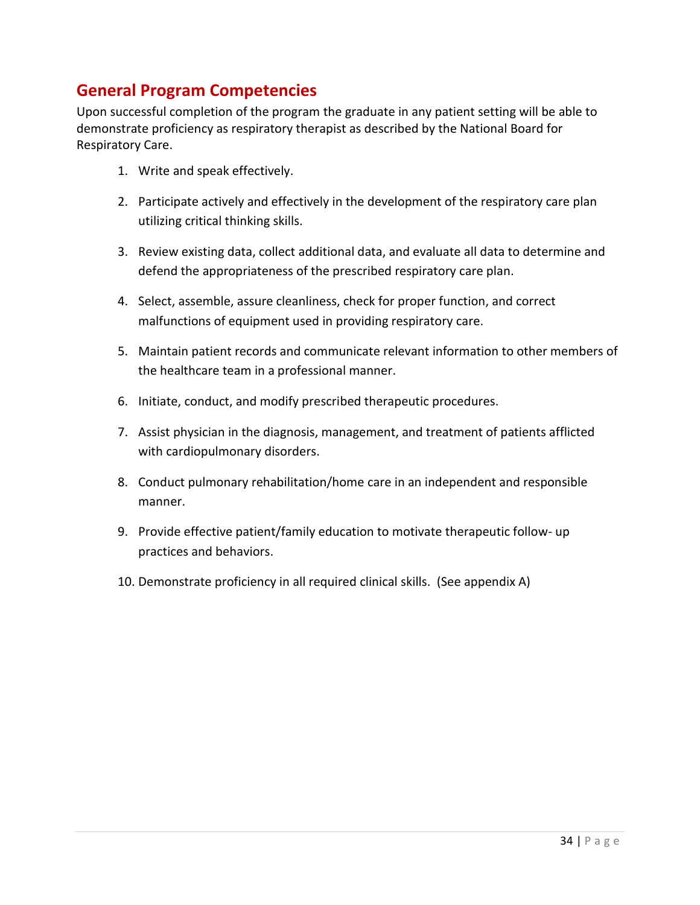### <span id="page-33-0"></span>**General Program Competencies**

Upon successful completion of the program the graduate in any patient setting will be able to demonstrate proficiency as respiratory therapist as described by the National Board for Respiratory Care.

- 1. Write and speak effectively.
- 2. Participate actively and effectively in the development of the respiratory care plan utilizing critical thinking skills.
- 3. Review existing data, collect additional data, and evaluate all data to determine and defend the appropriateness of the prescribed respiratory care plan.
- 4. Select, assemble, assure cleanliness, check for proper function, and correct malfunctions of equipment used in providing respiratory care.
- 5. Maintain patient records and communicate relevant information to other members of the healthcare team in a professional manner.
- 6. Initiate, conduct, and modify prescribed therapeutic procedures.
- 7. Assist physician in the diagnosis, management, and treatment of patients afflicted with cardiopulmonary disorders.
- 8. Conduct pulmonary rehabilitation/home care in an independent and responsible manner.
- 9. Provide effective patient/family education to motivate therapeutic follow- up practices and behaviors.
- 10. Demonstrate proficiency in all required clinical skills. (See appendix A)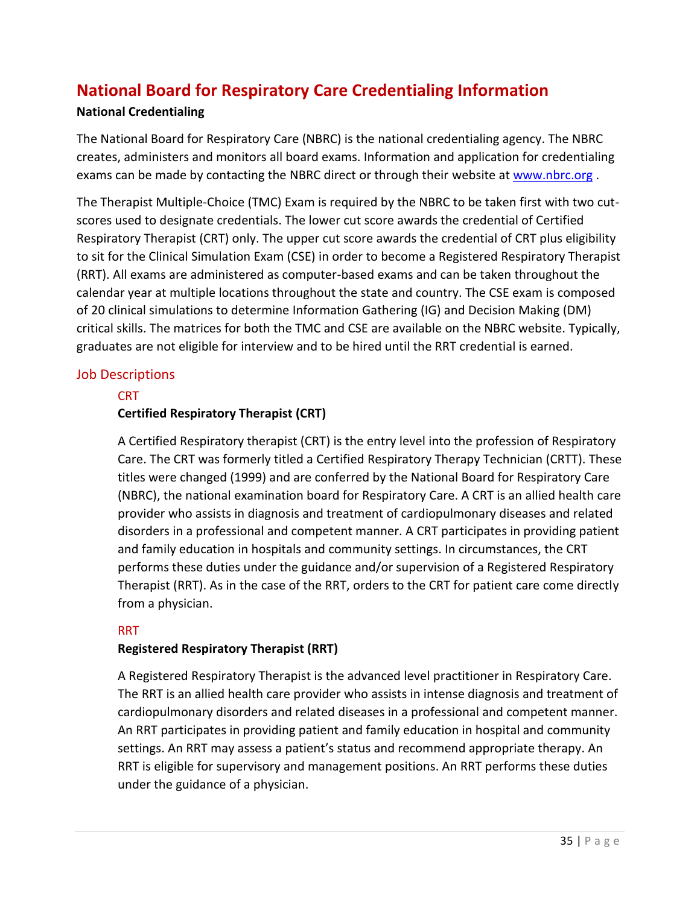# <span id="page-34-0"></span>**National Board for Respiratory Care Credentialing Information**

#### **National Credentialing**

The National Board for Respiratory Care (NBRC) is the national credentialing agency. The NBRC creates, administers and monitors all board exams. Information and application for credentialing exams can be made by contacting the NBRC direct or through their website at [www.nbrc.org](http://www.nbrc.org/).

The Therapist Multiple-Choice (TMC) Exam is required by the NBRC to be taken first with two cutscores used to designate credentials. The lower cut score awards the credential of Certified Respiratory Therapist (CRT) only. The upper cut score awards the credential of CRT plus eligibility to sit for the Clinical Simulation Exam (CSE) in order to become a Registered Respiratory Therapist (RRT). All exams are administered as computer-based exams and can be taken throughout the calendar year at multiple locations throughout the state and country. The CSE exam is composed of 20 clinical simulations to determine Information Gathering (IG) and Decision Making (DM) critical skills. The matrices for both the TMC and CSE are available on the NBRC website. Typically, graduates are not eligible for interview and to be hired until the RRT credential is earned.

#### <span id="page-34-2"></span><span id="page-34-1"></span>Job Descriptions

#### **CRT**

#### **Certified Respiratory Therapist (CRT)**

A Certified Respiratory therapist (CRT) is the entry level into the profession of Respiratory Care. The CRT was formerly titled a Certified Respiratory Therapy Technician (CRTT). These titles were changed (1999) and are conferred by the National Board for Respiratory Care (NBRC), the national examination board for Respiratory Care. A CRT is an allied health care provider who assists in diagnosis and treatment of cardiopulmonary diseases and related disorders in a professional and competent manner. A CRT participates in providing patient and family education in hospitals and community settings. In circumstances, the CRT performs these duties under the guidance and/or supervision of a Registered Respiratory Therapist (RRT). As in the case of the RRT, orders to the CRT for patient care come directly from a physician.

#### <span id="page-34-3"></span>RRT

#### **Registered Respiratory Therapist (RRT)**

A Registered Respiratory Therapist is the advanced level practitioner in Respiratory Care. The RRT is an allied health care provider who assists in intense diagnosis and treatment of cardiopulmonary disorders and related diseases in a professional and competent manner. An RRT participates in providing patient and family education in hospital and community settings. An RRT may assess a patient's status and recommend appropriate therapy. An RRT is eligible for supervisory and management positions. An RRT performs these duties under the guidance of a physician.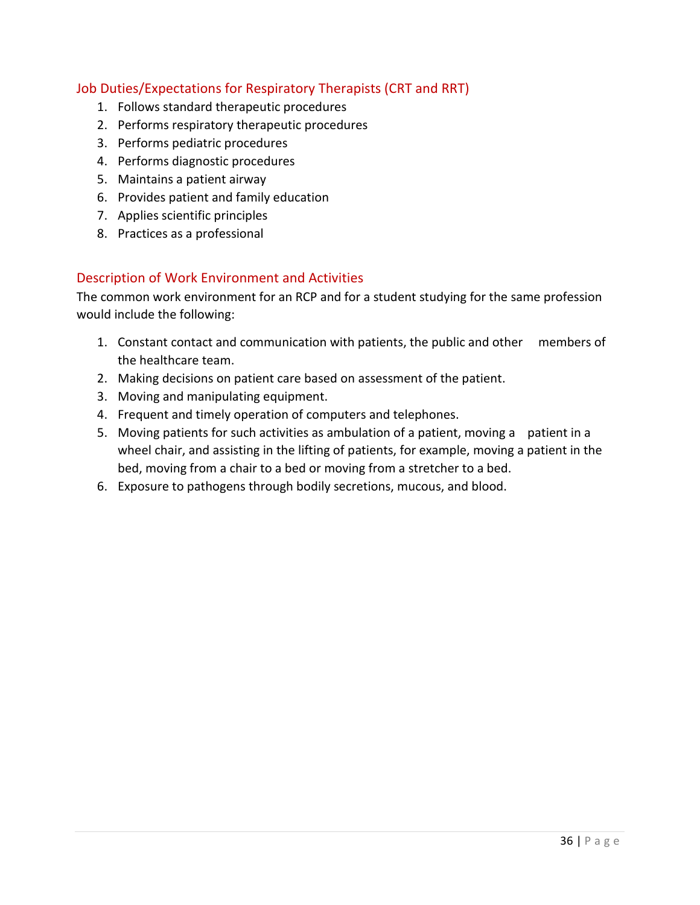#### <span id="page-35-0"></span>Job Duties/Expectations for Respiratory Therapists (CRT and RRT)

- 1. Follows standard therapeutic procedures
- 2. Performs respiratory therapeutic procedures
- 3. Performs pediatric procedures
- 4. Performs diagnostic procedures
- 5. Maintains a patient airway
- 6. Provides patient and family education
- 7. Applies scientific principles
- 8. Practices as a professional

#### <span id="page-35-1"></span>Description of Work Environment and Activities

The common work environment for an RCP and for a student studying for the same profession would include the following:

- 1. Constant contact and communication with patients, the public and other members of the healthcare team.
- 2. Making decisions on patient care based on assessment of the patient.
- 3. Moving and manipulating equipment.
- 4. Frequent and timely operation of computers and telephones.
- 5. Moving patients for such activities as ambulation of a patient, moving a patient in a wheel chair, and assisting in the lifting of patients, for example, moving a patient in the bed, moving from a chair to a bed or moving from a stretcher to a bed.
- 6. Exposure to pathogens through bodily secretions, mucous, and blood.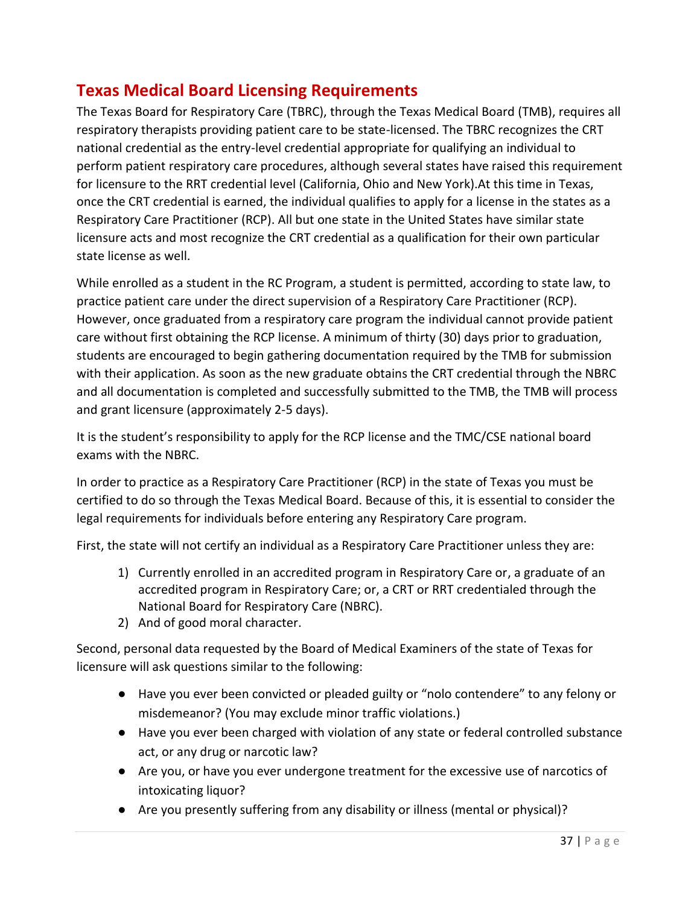# <span id="page-36-0"></span>**Texas Medical Board Licensing Requirements**

The Texas Board for Respiratory Care (TBRC), through the Texas Medical Board (TMB), requires all respiratory therapists providing patient care to be state-licensed. The TBRC recognizes the CRT national credential as the entry-level credential appropriate for qualifying an individual to perform patient respiratory care procedures, although several states have raised this requirement for licensure to the RRT credential level (California, Ohio and New York).At this time in Texas, once the CRT credential is earned, the individual qualifies to apply for a license in the states as a Respiratory Care Practitioner (RCP). All but one state in the United States have similar state licensure acts and most recognize the CRT credential as a qualification for their own particular state license as well.

While enrolled as a student in the RC Program, a student is permitted, according to state law, to practice patient care under the direct supervision of a Respiratory Care Practitioner (RCP). However, once graduated from a respiratory care program the individual cannot provide patient care without first obtaining the RCP license. A minimum of thirty (30) days prior to graduation, students are encouraged to begin gathering documentation required by the TMB for submission with their application. As soon as the new graduate obtains the CRT credential through the NBRC and all documentation is completed and successfully submitted to the TMB, the TMB will process and grant licensure (approximately 2-5 days).

It is the student's responsibility to apply for the RCP license and the TMC/CSE national board exams with the NBRC.

In order to practice as a Respiratory Care Practitioner (RCP) in the state of Texas you must be certified to do so through the Texas Medical Board. Because of this, it is essential to consider the legal requirements for individuals before entering any Respiratory Care program.

First, the state will not certify an individual as a Respiratory Care Practitioner unless they are:

- 1) Currently enrolled in an accredited program in Respiratory Care or, a graduate of an accredited program in Respiratory Care; or, a CRT or RRT credentialed through the National Board for Respiratory Care (NBRC).
- 2) And of good moral character.

Second, personal data requested by the Board of Medical Examiners of the state of Texas for licensure will ask questions similar to the following:

- Have you ever been convicted or pleaded guilty or "nolo contendere" to any felony or misdemeanor? (You may exclude minor traffic violations.)
- Have you ever been charged with violation of any state or federal controlled substance act, or any drug or narcotic law?
- Are you, or have you ever undergone treatment for the excessive use of narcotics of intoxicating liquor?
- Are you presently suffering from any disability or illness (mental or physical)?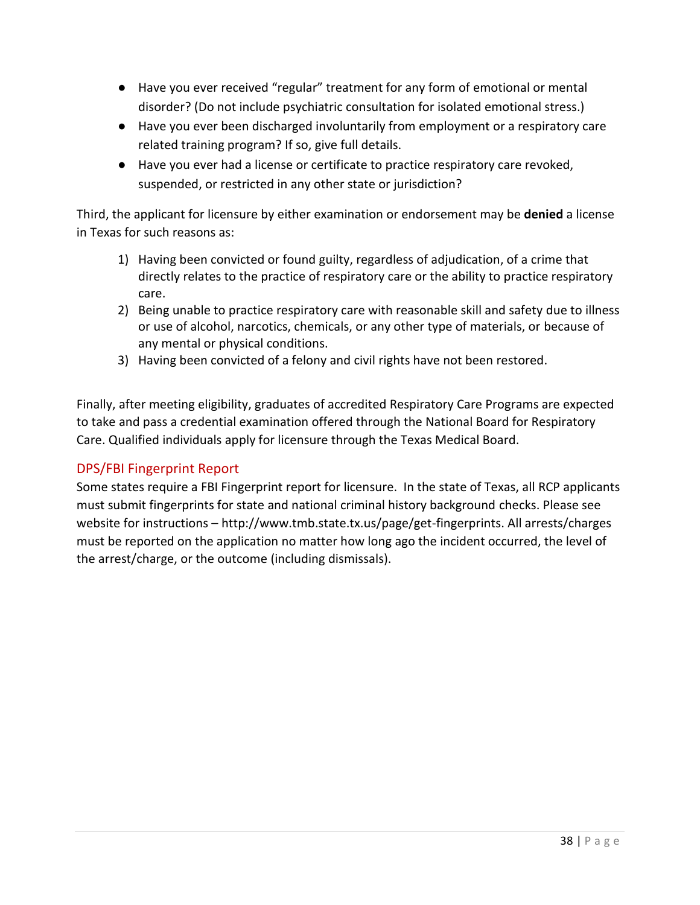- Have you ever received "regular" treatment for any form of emotional or mental disorder? (Do not include psychiatric consultation for isolated emotional stress.)
- Have you ever been discharged involuntarily from employment or a respiratory care related training program? If so, give full details.
- Have you ever had a license or certificate to practice respiratory care revoked, suspended, or restricted in any other state or jurisdiction?

Third, the applicant for licensure by either examination or endorsement may be **denied** a license in Texas for such reasons as:

- 1) Having been convicted or found guilty, regardless of adjudication, of a crime that directly relates to the practice of respiratory care or the ability to practice respiratory care.
- 2) Being unable to practice respiratory care with reasonable skill and safety due to illness or use of alcohol, narcotics, chemicals, or any other type of materials, or because of any mental or physical conditions.
- 3) Having been convicted of a felony and civil rights have not been restored.

Finally, after meeting eligibility, graduates of accredited Respiratory Care Programs are expected to take and pass a credential examination offered through the National Board for Respiratory Care. Qualified individuals apply for licensure through the Texas Medical Board.

#### <span id="page-37-0"></span>DPS/FBI Fingerprint Report

Some states require a FBI Fingerprint report for licensure. In the state of Texas, all RCP applicants must submit fingerprints for state and national criminal history background checks. Please see website for instructions – http://www.tmb.state.tx.us/page/get-fingerprints. All arrests/charges must be reported on the application no matter how long ago the incident occurred, the level of the arrest/charge, or the outcome (including dismissals).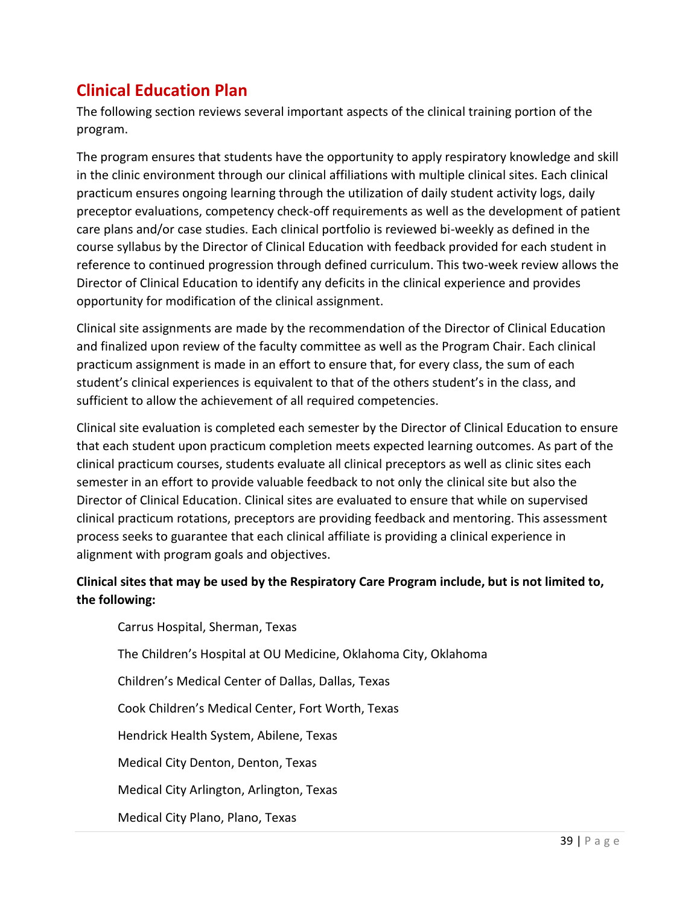# <span id="page-38-0"></span>**Clinical Education Plan**

The following section reviews several important aspects of the clinical training portion of the program.

The program ensures that students have the opportunity to apply respiratory knowledge and skill in the clinic environment through our clinical affiliations with multiple clinical sites. Each clinical practicum ensures ongoing learning through the utilization of daily student activity logs, daily preceptor evaluations, competency check-off requirements as well as the development of patient care plans and/or case studies. Each clinical portfolio is reviewed bi-weekly as defined in the course syllabus by the Director of Clinical Education with feedback provided for each student in reference to continued progression through defined curriculum. This two-week review allows the Director of Clinical Education to identify any deficits in the clinical experience and provides opportunity for modification of the clinical assignment.

Clinical site assignments are made by the recommendation of the Director of Clinical Education and finalized upon review of the faculty committee as well as the Program Chair. Each clinical practicum assignment is made in an effort to ensure that, for every class, the sum of each student's clinical experiences is equivalent to that of the others student's in the class, and sufficient to allow the achievement of all required competencies.

Clinical site evaluation is completed each semester by the Director of Clinical Education to ensure that each student upon practicum completion meets expected learning outcomes. As part of the clinical practicum courses, students evaluate all clinical preceptors as well as clinic sites each semester in an effort to provide valuable feedback to not only the clinical site but also the Director of Clinical Education. Clinical sites are evaluated to ensure that while on supervised clinical practicum rotations, preceptors are providing feedback and mentoring. This assessment process seeks to guarantee that each clinical affiliate is providing a clinical experience in alignment with program goals and objectives.

#### **Clinical sites that may be used by the Respiratory Care Program include, but is not limited to, the following:**

Carrus Hospital, Sherman, Texas The Children's Hospital at OU Medicine, Oklahoma City, Oklahoma Children's Medical Center of Dallas, Dallas, Texas Cook Children's Medical Center, Fort Worth, Texas Hendrick Health System, Abilene, Texas Medical City Denton, Denton, Texas Medical City Arlington, Arlington, Texas Medical City Plano, Plano, Texas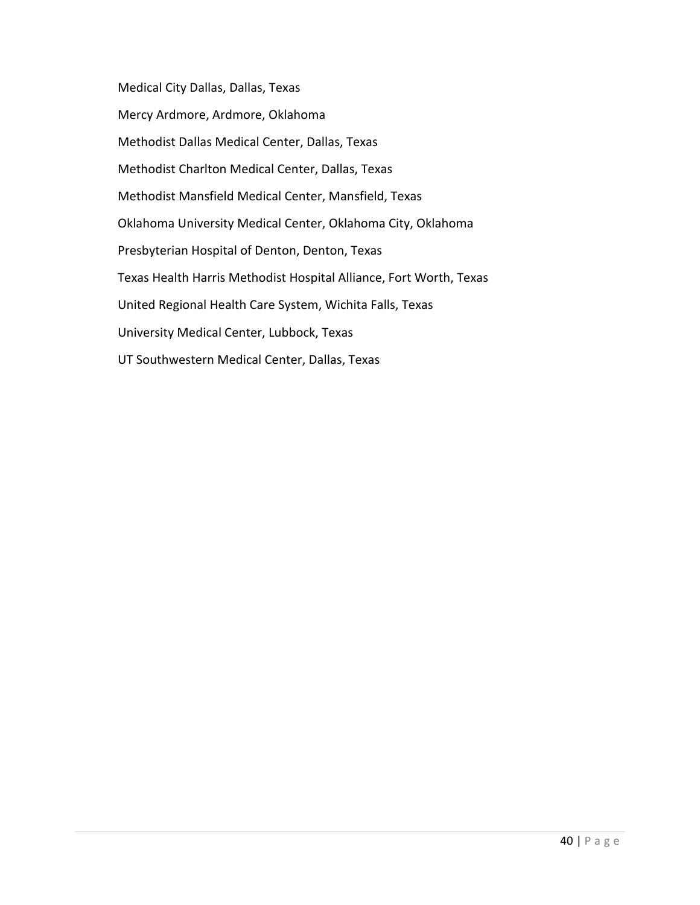Medical City Dallas, Dallas, Texas Mercy Ardmore, Ardmore, Oklahoma Methodist Dallas Medical Center, Dallas, Texas Methodist Charlton Medical Center, Dallas, Texas Methodist Mansfield Medical Center, Mansfield, Texas Oklahoma University Medical Center, Oklahoma City, Oklahoma Presbyterian Hospital of Denton, Denton, Texas Texas Health Harris Methodist Hospital Alliance, Fort Worth, Texas United Regional Health Care System, Wichita Falls, Texas University Medical Center, Lubbock, Texas UT Southwestern Medical Center, Dallas, Texas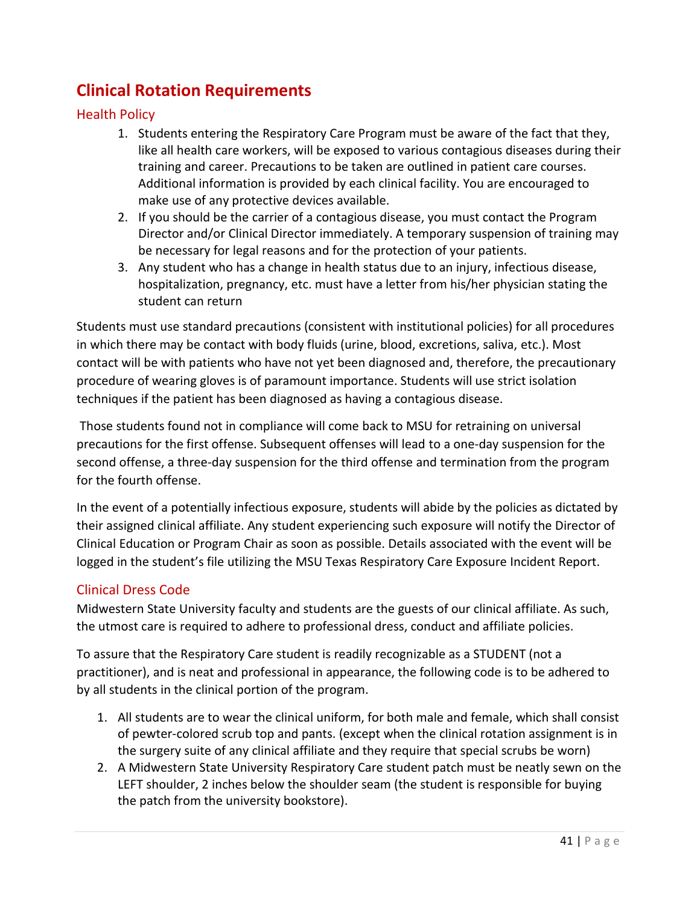# <span id="page-40-0"></span>**Clinical Rotation Requirements**

#### <span id="page-40-1"></span>Health Policy

- 1. Students entering the Respiratory Care Program must be aware of the fact that they, like all health care workers, will be exposed to various contagious diseases during their training and career. Precautions to be taken are outlined in patient care courses. Additional information is provided by each clinical facility. You are encouraged to make use of any protective devices available.
- 2. If you should be the carrier of a contagious disease, you must contact the Program Director and/or Clinical Director immediately. A temporary suspension of training may be necessary for legal reasons and for the protection of your patients.
- 3. Any student who has a change in health status due to an injury, infectious disease, hospitalization, pregnancy, etc. must have a letter from his/her physician stating the student can return

Students must use standard precautions (consistent with institutional policies) for all procedures in which there may be contact with body fluids (urine, blood, excretions, saliva, etc.). Most contact will be with patients who have not yet been diagnosed and, therefore, the precautionary procedure of wearing gloves is of paramount importance. Students will use strict isolation techniques if the patient has been diagnosed as having a contagious disease.

Those students found not in compliance will come back to MSU for retraining on universal precautions for the first offense. Subsequent offenses will lead to a one-day suspension for the second offense, a three-day suspension for the third offense and termination from the program for the fourth offense.

In the event of a potentially infectious exposure, students will abide by the policies as dictated by their assigned clinical affiliate. Any student experiencing such exposure will notify the Director of Clinical Education or Program Chair as soon as possible. Details associated with the event will be logged in the student's file utilizing the MSU Texas Respiratory Care Exposure Incident Report.

#### <span id="page-40-2"></span>Clinical Dress Code

Midwestern State University faculty and students are the guests of our clinical affiliate. As such, the utmost care is required to adhere to professional dress, conduct and affiliate policies.

To assure that the Respiratory Care student is readily recognizable as a STUDENT (not a practitioner), and is neat and professional in appearance, the following code is to be adhered to by all students in the clinical portion of the program.

- 1. All students are to wear the clinical uniform, for both male and female, which shall consist of pewter-colored scrub top and pants. (except when the clinical rotation assignment is in the surgery suite of any clinical affiliate and they require that special scrubs be worn)
- 2. A Midwestern State University Respiratory Care student patch must be neatly sewn on the LEFT shoulder, 2 inches below the shoulder seam (the student is responsible for buying the patch from the university bookstore).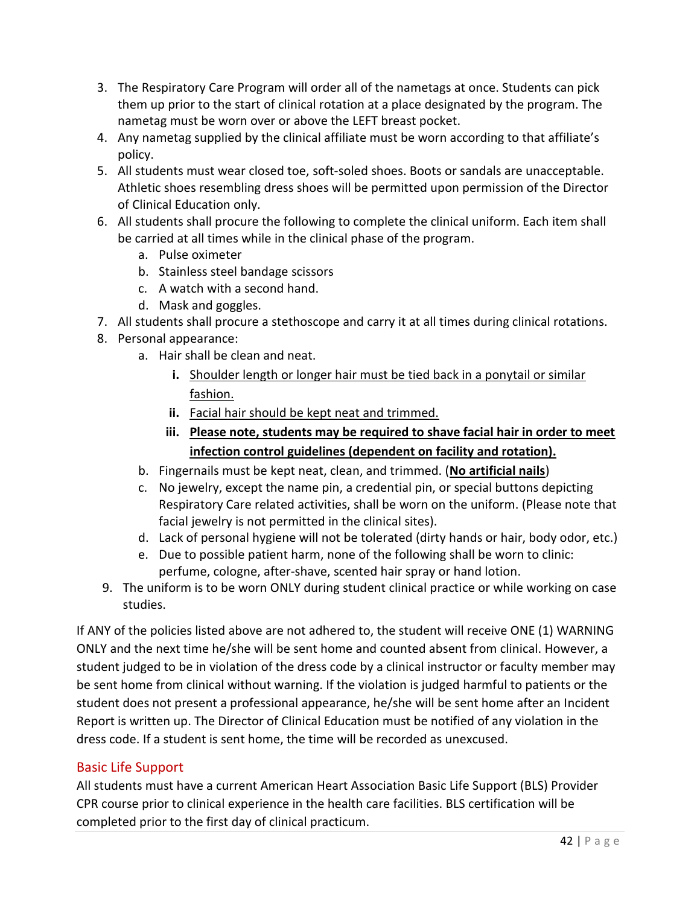- 3. The Respiratory Care Program will order all of the nametags at once. Students can pick them up prior to the start of clinical rotation at a place designated by the program. The nametag must be worn over or above the LEFT breast pocket.
- 4. Any nametag supplied by the clinical affiliate must be worn according to that affiliate's policy.
- 5. All students must wear closed toe, soft-soled shoes. Boots or sandals are unacceptable. Athletic shoes resembling dress shoes will be permitted upon permission of the Director of Clinical Education only.
- 6. All students shall procure the following to complete the clinical uniform. Each item shall be carried at all times while in the clinical phase of the program.
	- a. Pulse oximeter
	- b. Stainless steel bandage scissors
	- c. A watch with a second hand.
	- d. Mask and goggles.
- 7. All students shall procure a stethoscope and carry it at all times during clinical rotations.
- 8. Personal appearance:
	- a. Hair shall be clean and neat.
		- **i.** Shoulder length or longer hair must be tied back in a ponytail or similar fashion.
		- **ii.** Facial hair should be kept neat and trimmed.
		- **iii. Please note, students may be required to shave facial hair in order to meet infection control guidelines (dependent on facility and rotation).**
	- b. Fingernails must be kept neat, clean, and trimmed. (**No artificial nails**)
	- c. No jewelry, except the name pin, a credential pin, or special buttons depicting Respiratory Care related activities, shall be worn on the uniform. (Please note that facial jewelry is not permitted in the clinical sites).
	- d. Lack of personal hygiene will not be tolerated (dirty hands or hair, body odor, etc.)
	- e. Due to possible patient harm, none of the following shall be worn to clinic: perfume, cologne, after-shave, scented hair spray or hand lotion.
- 9. The uniform is to be worn ONLY during student clinical practice or while working on case studies.

If ANY of the policies listed above are not adhered to, the student will receive ONE (1) WARNING ONLY and the next time he/she will be sent home and counted absent from clinical. However, a student judged to be in violation of the dress code by a clinical instructor or faculty member may be sent home from clinical without warning. If the violation is judged harmful to patients or the student does not present a professional appearance, he/she will be sent home after an Incident Report is written up. The Director of Clinical Education must be notified of any violation in the dress code. If a student is sent home, the time will be recorded as unexcused.

#### <span id="page-41-0"></span>Basic Life Support

All students must have a current American Heart Association Basic Life Support (BLS) Provider CPR course prior to clinical experience in the health care facilities. BLS certification will be completed prior to the first day of clinical practicum.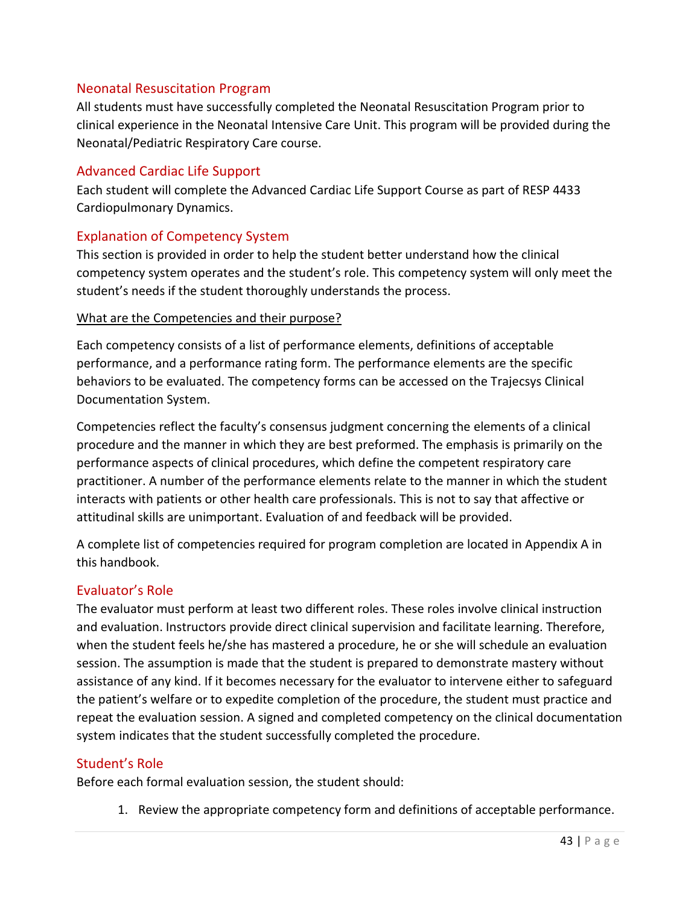#### <span id="page-42-0"></span>Neonatal Resuscitation Program

All students must have successfully completed the Neonatal Resuscitation Program prior to clinical experience in the Neonatal Intensive Care Unit. This program will be provided during the Neonatal/Pediatric Respiratory Care course.

#### <span id="page-42-1"></span>Advanced Cardiac Life Support

Each student will complete the Advanced Cardiac Life Support Course as part of RESP 4433 Cardiopulmonary Dynamics.

#### <span id="page-42-2"></span>Explanation of Competency System

This section is provided in order to help the student better understand how the clinical competency system operates and the student's role. This competency system will only meet the student's needs if the student thoroughly understands the process.

#### What are the Competencies and their purpose?

Each competency consists of a list of performance elements, definitions of acceptable performance, and a performance rating form. The performance elements are the specific behaviors to be evaluated. The competency forms can be accessed on the Trajecsys Clinical Documentation System.

Competencies reflect the faculty's consensus judgment concerning the elements of a clinical procedure and the manner in which they are best preformed. The emphasis is primarily on the performance aspects of clinical procedures, which define the competent respiratory care practitioner. A number of the performance elements relate to the manner in which the student interacts with patients or other health care professionals. This is not to say that affective or attitudinal skills are unimportant. Evaluation of and feedback will be provided.

A complete list of competencies required for program completion are located in Appendix A in this handbook.

#### <span id="page-42-3"></span>Evaluator's Role

The evaluator must perform at least two different roles. These roles involve clinical instruction and evaluation. Instructors provide direct clinical supervision and facilitate learning. Therefore, when the student feels he/she has mastered a procedure, he or she will schedule an evaluation session. The assumption is made that the student is prepared to demonstrate mastery without assistance of any kind. If it becomes necessary for the evaluator to intervene either to safeguard the patient's welfare or to expedite completion of the procedure, the student must practice and repeat the evaluation session. A signed and completed competency on the clinical documentation system indicates that the student successfully completed the procedure.

#### <span id="page-42-4"></span>Student's Role

Before each formal evaluation session, the student should:

1. Review the appropriate competency form and definitions of acceptable performance.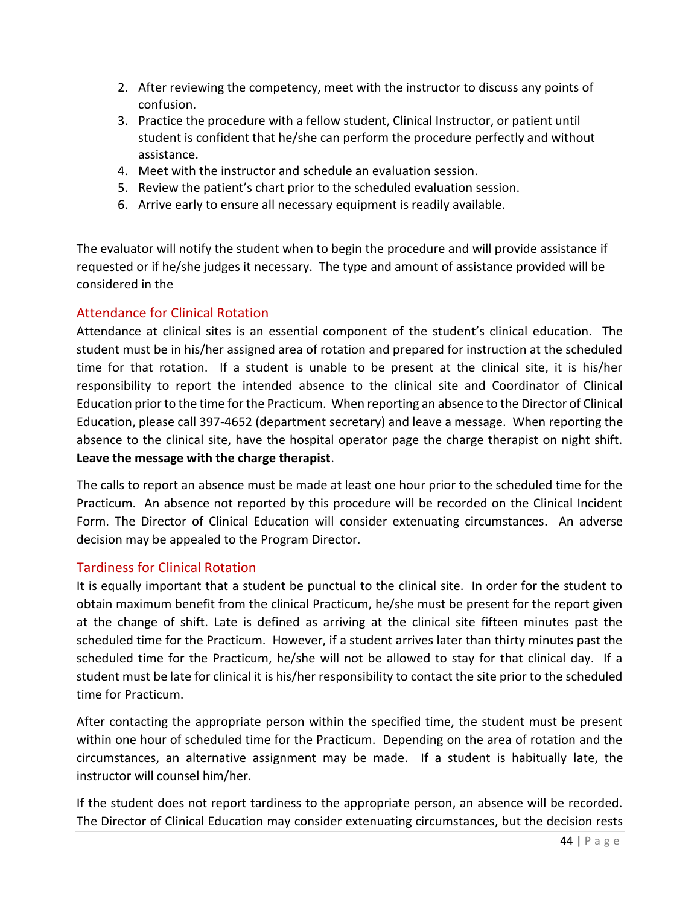- 2. After reviewing the competency, meet with the instructor to discuss any points of confusion.
- 3. Practice the procedure with a fellow student, Clinical Instructor, or patient until student is confident that he/she can perform the procedure perfectly and without assistance.
- 4. Meet with the instructor and schedule an evaluation session.
- 5. Review the patient's chart prior to the scheduled evaluation session.
- 6. Arrive early to ensure all necessary equipment is readily available.

The evaluator will notify the student when to begin the procedure and will provide assistance if requested or if he/she judges it necessary. The type and amount of assistance provided will be considered in the

#### <span id="page-43-0"></span>Attendance for Clinical Rotation

Attendance at clinical sites is an essential component of the student's clinical education. The student must be in his/her assigned area of rotation and prepared for instruction at the scheduled time for that rotation. If a student is unable to be present at the clinical site, it is his/her responsibility to report the intended absence to the clinical site and Coordinator of Clinical Education prior to the time for the Practicum. When reporting an absence to the Director of Clinical Education, please call 397-4652 (department secretary) and leave a message. When reporting the absence to the clinical site, have the hospital operator page the charge therapist on night shift. **Leave the message with the charge therapist**.

The calls to report an absence must be made at least one hour prior to the scheduled time for the Practicum. An absence not reported by this procedure will be recorded on the Clinical Incident Form. The Director of Clinical Education will consider extenuating circumstances. An adverse decision may be appealed to the Program Director.

#### <span id="page-43-1"></span>Tardiness for Clinical Rotation

It is equally important that a student be punctual to the clinical site. In order for the student to obtain maximum benefit from the clinical Practicum, he/she must be present for the report given at the change of shift. Late is defined as arriving at the clinical site fifteen minutes past the scheduled time for the Practicum. However, if a student arrives later than thirty minutes past the scheduled time for the Practicum, he/she will not be allowed to stay for that clinical day. If a student must be late for clinical it is his/her responsibility to contact the site prior to the scheduled time for Practicum.

After contacting the appropriate person within the specified time, the student must be present within one hour of scheduled time for the Practicum. Depending on the area of rotation and the circumstances, an alternative assignment may be made. If a student is habitually late, the instructor will counsel him/her.

If the student does not report tardiness to the appropriate person, an absence will be recorded. The Director of Clinical Education may consider extenuating circumstances, but the decision rests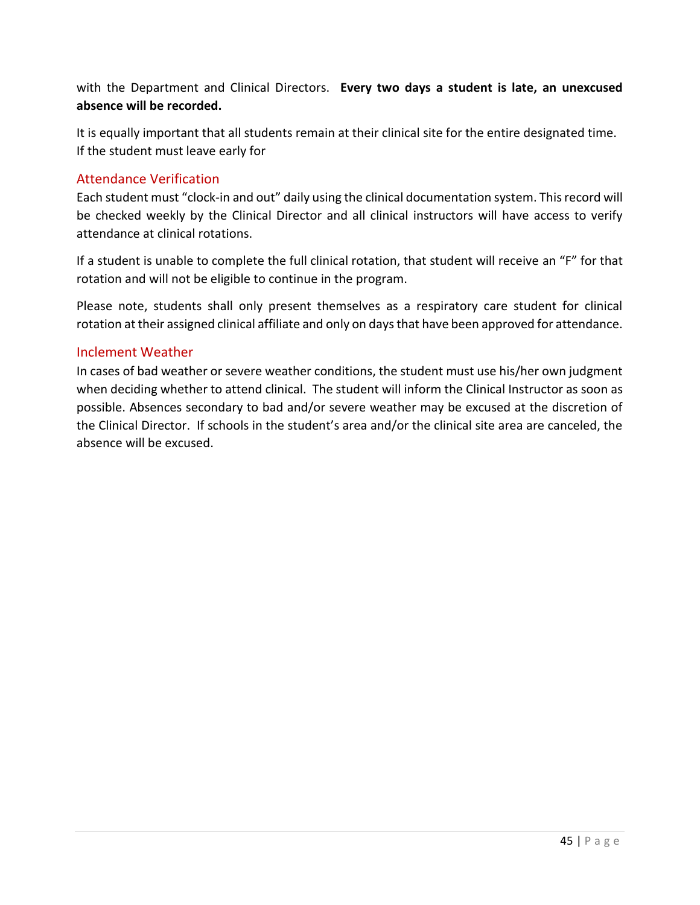with the Department and Clinical Directors. **Every two days a student is late, an unexcused absence will be recorded.**

It is equally important that all students remain at their clinical site for the entire designated time. If the student must leave early for

#### <span id="page-44-0"></span>Attendance Verification

Each student must "clock-in and out" daily using the clinical documentation system. This record will be checked weekly by the Clinical Director and all clinical instructors will have access to verify attendance at clinical rotations.

If a student is unable to complete the full clinical rotation, that student will receive an "F" for that rotation and will not be eligible to continue in the program.

Please note, students shall only present themselves as a respiratory care student for clinical rotation at their assigned clinical affiliate and only on days that have been approved for attendance.

#### <span id="page-44-1"></span>Inclement Weather

In cases of bad weather or severe weather conditions, the student must use his/her own judgment when deciding whether to attend clinical. The student will inform the Clinical Instructor as soon as possible. Absences secondary to bad and/or severe weather may be excused at the discretion of the Clinical Director. If schools in the student's area and/or the clinical site area are canceled, the absence will be excused.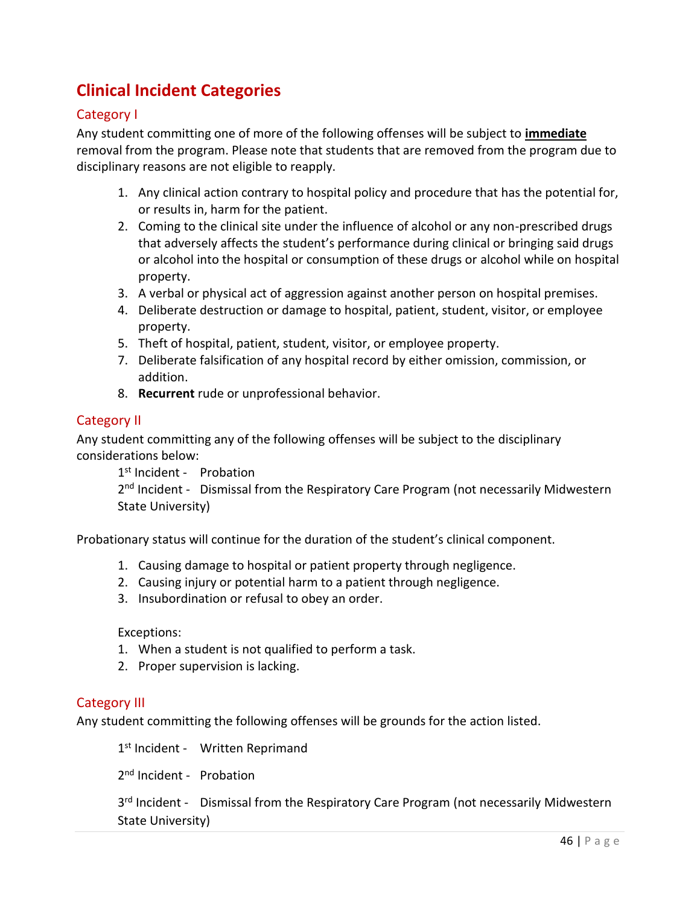# <span id="page-45-0"></span>**Clinical Incident Categories**

#### <span id="page-45-1"></span>Category I

Any student committing one of more of the following offenses will be subject to **immediate** removal from the program. Please note that students that are removed from the program due to disciplinary reasons are not eligible to reapply.

- 1. Any clinical action contrary to hospital policy and procedure that has the potential for, or results in, harm for the patient.
- 2. Coming to the clinical site under the influence of alcohol or any non-prescribed drugs that adversely affects the student's performance during clinical or bringing said drugs or alcohol into the hospital or consumption of these drugs or alcohol while on hospital property.
- 3. A verbal or physical act of aggression against another person on hospital premises.
- 4. Deliberate destruction or damage to hospital, patient, student, visitor, or employee property.
- 5. Theft of hospital, patient, student, visitor, or employee property.
- 7. Deliberate falsification of any hospital record by either omission, commission, or addition.
- 8. **Recurrent** rude or unprofessional behavior.

#### <span id="page-45-2"></span>Category II

Any student committing any of the following offenses will be subject to the disciplinary considerations below:

1<sup>st</sup> Incident - Probation

2<sup>nd</sup> Incident - Dismissal from the Respiratory Care Program (not necessarily Midwestern State University)

Probationary status will continue for the duration of the student's clinical component.

- 1. Causing damage to hospital or patient property through negligence.
- 2. Causing injury or potential harm to a patient through negligence.
- 3. Insubordination or refusal to obey an order.

#### Exceptions:

- 1. When a student is not qualified to perform a task.
- 2. Proper supervision is lacking.

#### <span id="page-45-3"></span>Category III

Any student committing the following offenses will be grounds for the action listed.

1<sup>st</sup> Incident - Written Reprimand

2<sup>nd</sup> Incident - Probation

3<sup>rd</sup> Incident - Dismissal from the Respiratory Care Program (not necessarily Midwestern State University)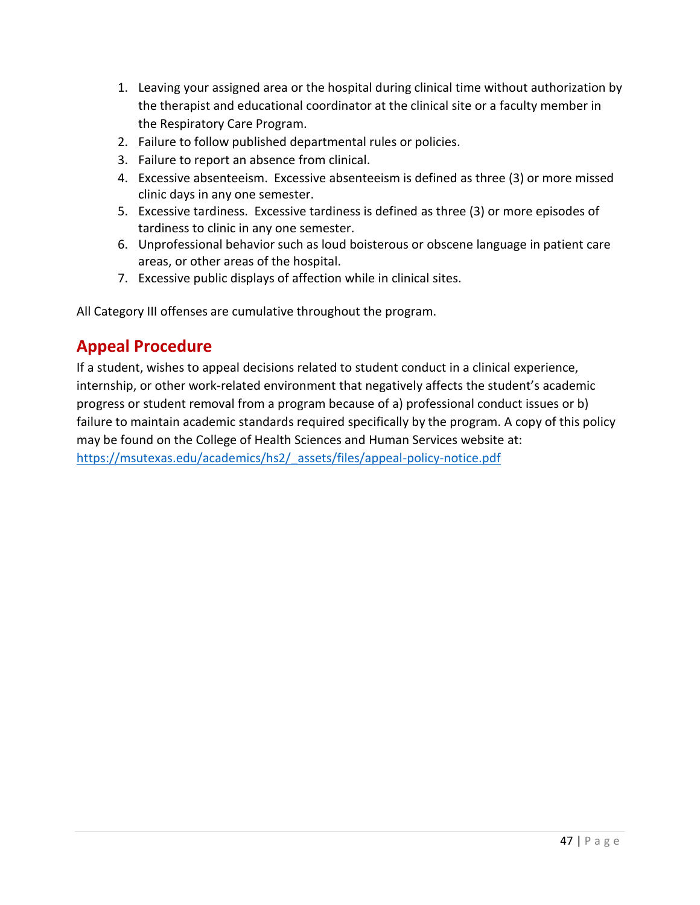- 1. Leaving your assigned area or the hospital during clinical time without authorization by the therapist and educational coordinator at the clinical site or a faculty member in the Respiratory Care Program.
- 2. Failure to follow published departmental rules or policies.
- 3. Failure to report an absence from clinical.
- 4. Excessive absenteeism. Excessive absenteeism is defined as three (3) or more missed clinic days in any one semester.
- 5. Excessive tardiness. Excessive tardiness is defined as three (3) or more episodes of tardiness to clinic in any one semester.
- 6. Unprofessional behavior such as loud boisterous or obscene language in patient care areas, or other areas of the hospital.
- 7. Excessive public displays of affection while in clinical sites.

All Category III offenses are cumulative throughout the program.

### <span id="page-46-0"></span>**Appeal Procedure**

If a student, wishes to appeal decisions related to student conduct in a clinical experience, internship, or other work-related environment that negatively affects the student's academic progress or student removal from a program because of a) professional conduct issues or b) failure to maintain academic standards required specifically by the program. A copy of this policy may be found on the College of Health Sciences and Human Services website at: [https://msutexas.edu/academics/hs2/\\_assets/files/appeal-policy-notice.pdf](https://msutexas.edu/academics/hs2/_assets/files/appeal-policy-notice.pdf)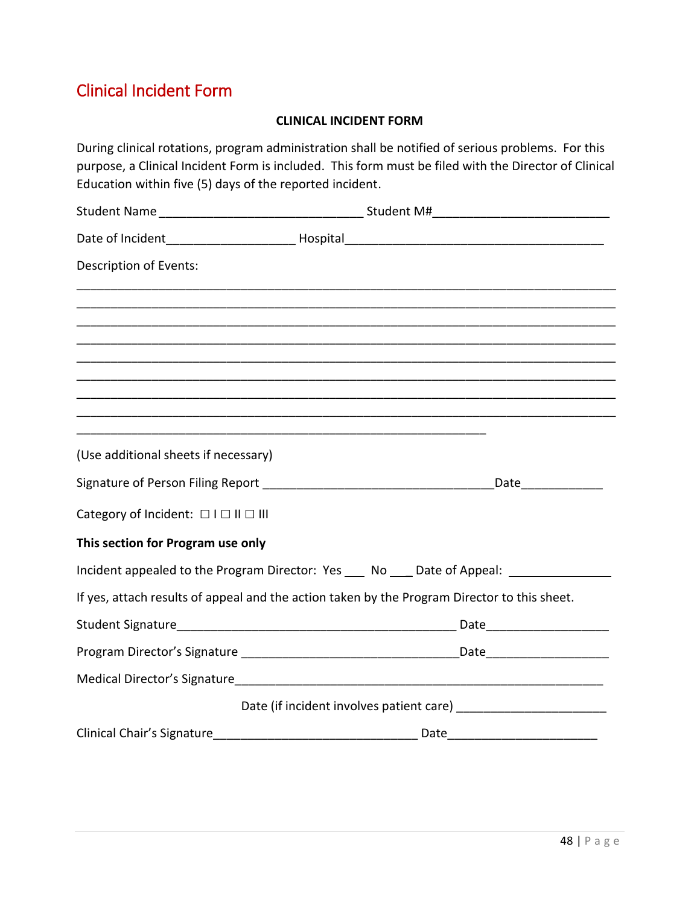# Clinical Incident Form

#### **CLINICAL INCIDENT FORM**

| Education within five (5) days of the reported incident. | During clinical rotations, program administration shall be notified of serious problems. For this<br>purpose, a Clinical Incident Form is included. This form must be filed with the Director of Clinical |
|----------------------------------------------------------|-----------------------------------------------------------------------------------------------------------------------------------------------------------------------------------------------------------|
|                                                          |                                                                                                                                                                                                           |
|                                                          |                                                                                                                                                                                                           |
| Description of Events:                                   |                                                                                                                                                                                                           |
|                                                          |                                                                                                                                                                                                           |
|                                                          |                                                                                                                                                                                                           |
|                                                          |                                                                                                                                                                                                           |
|                                                          |                                                                                                                                                                                                           |
| (Use additional sheets if necessary)                     |                                                                                                                                                                                                           |
|                                                          | Date and the state of the state of the state of the state of the state of the state of the state of the state                                                                                             |
| Category of Incident: □ I □ II □ III                     |                                                                                                                                                                                                           |
| This section for Program use only                        |                                                                                                                                                                                                           |
|                                                          | Incident appealed to the Program Director: Yes ___ No ___ Date of Appeal: ____________                                                                                                                    |
|                                                          | If yes, attach results of appeal and the action taken by the Program Director to this sheet.                                                                                                              |
|                                                          | Date https://www.facebook.com/                                                                                                                                                                            |
|                                                          |                                                                                                                                                                                                           |
|                                                          |                                                                                                                                                                                                           |
|                                                          |                                                                                                                                                                                                           |
|                                                          |                                                                                                                                                                                                           |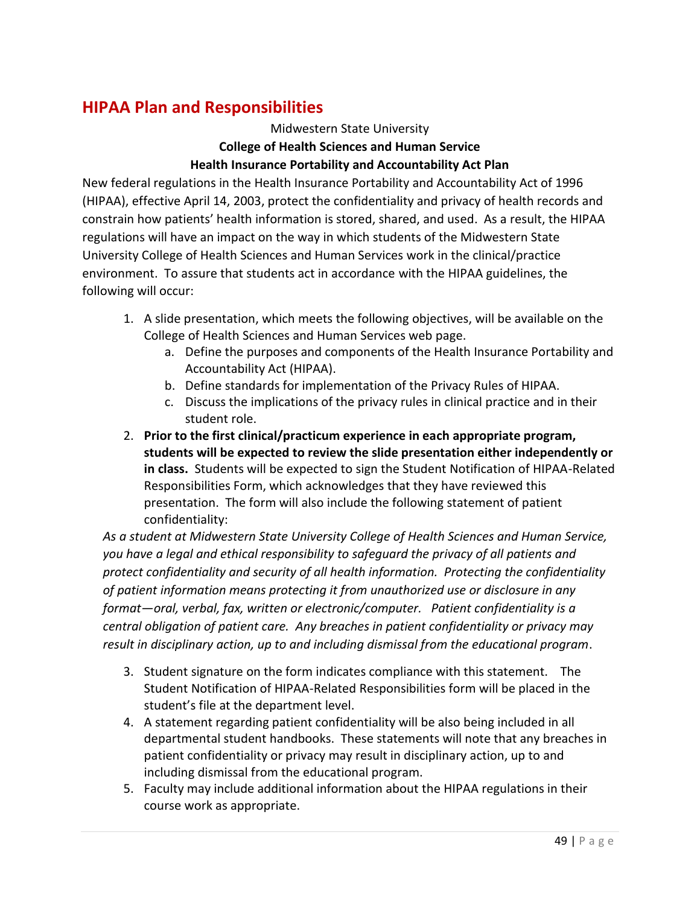### <span id="page-48-0"></span>**HIPAA Plan and Responsibilities**

#### Midwestern State University **College of Health Sciences and Human Service Health Insurance Portability and Accountability Act Plan**

New federal regulations in the Health Insurance Portability and Accountability Act of 1996 (HIPAA), effective April 14, 2003, protect the confidentiality and privacy of health records and constrain how patients' health information is stored, shared, and used. As a result, the HIPAA regulations will have an impact on the way in which students of the Midwestern State University College of Health Sciences and Human Services work in the clinical/practice environment. To assure that students act in accordance with the HIPAA guidelines, the following will occur:

- 1. A slide presentation, which meets the following objectives, will be available on the College of Health Sciences and Human Services web page.
	- a. Define the purposes and components of the Health Insurance Portability and Accountability Act (HIPAA).
	- b. Define standards for implementation of the Privacy Rules of HIPAA.
	- c. Discuss the implications of the privacy rules in clinical practice and in their student role.
- 2. **Prior to the first clinical/practicum experience in each appropriate program, students will be expected to review the slide presentation either independently or in class.** Students will be expected to sign the Student Notification of HIPAA-Related Responsibilities Form, which acknowledges that they have reviewed this presentation. The form will also include the following statement of patient confidentiality:

*As a student at Midwestern State University College of Health Sciences and Human Service, you have a legal and ethical responsibility to safeguard the privacy of all patients and protect confidentiality and security of all health information. Protecting the confidentiality of patient information means protecting it from unauthorized use or disclosure in any format—oral, verbal, fax, written or electronic/computer. Patient confidentiality is a central obligation of patient care. Any breaches in patient confidentiality or privacy may result in disciplinary action, up to and including dismissal from the educational program*.

- 3. Student signature on the form indicates compliance with this statement. The Student Notification of HIPAA-Related Responsibilities form will be placed in the student's file at the department level.
- 4. A statement regarding patient confidentiality will be also being included in all departmental student handbooks. These statements will note that any breaches in patient confidentiality or privacy may result in disciplinary action, up to and including dismissal from the educational program.
- 5. Faculty may include additional information about the HIPAA regulations in their course work as appropriate.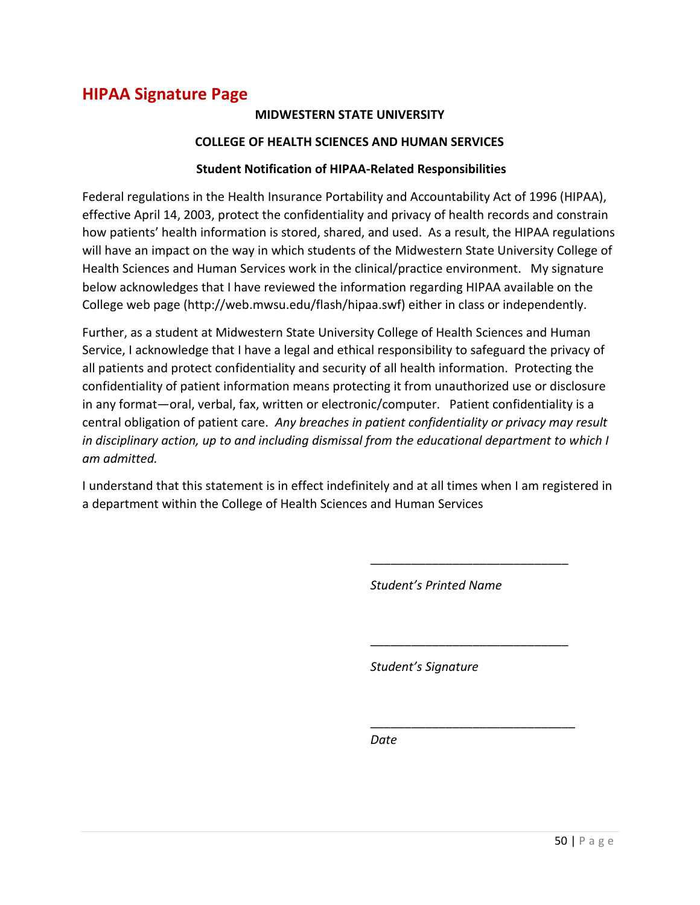### <span id="page-49-0"></span>**HIPAA Signature Page**

#### **MIDWESTERN STATE UNIVERSITY**

#### **COLLEGE OF HEALTH SCIENCES AND HUMAN SERVICES**

#### **Student Notification of HIPAA-Related Responsibilities**

Federal regulations in the Health Insurance Portability and Accountability Act of 1996 (HIPAA), effective April 14, 2003, protect the confidentiality and privacy of health records and constrain how patients' health information is stored, shared, and used. As a result, the HIPAA regulations will have an impact on the way in which students of the Midwestern State University College of Health Sciences and Human Services work in the clinical/practice environment. My signature below acknowledges that I have reviewed the information regarding HIPAA available on the College web page (http://web.mwsu.edu/flash/hipaa.swf) either in class or independently.

Further, as a student at Midwestern State University College of Health Sciences and Human Service, I acknowledge that I have a legal and ethical responsibility to safeguard the privacy of all patients and protect confidentiality and security of all health information. Protecting the confidentiality of patient information means protecting it from unauthorized use or disclosure in any format—oral, verbal, fax, written or electronic/computer. Patient confidentiality is a central obligation of patient care. *Any breaches in patient confidentiality or privacy may result in disciplinary action, up to and including dismissal from the educational department to which I am admitted.*

I understand that this statement is in effect indefinitely and at all times when I am registered in a department within the College of Health Sciences and Human Services

*Student's Printed Name*

\_\_\_\_\_\_\_\_\_\_\_\_\_\_\_\_\_\_\_\_\_\_\_\_\_\_\_\_\_

\_\_\_\_\_\_\_\_\_\_\_\_\_\_\_\_\_\_\_\_\_\_\_\_\_\_\_\_\_

\_\_\_\_\_\_\_\_\_\_\_\_\_\_\_\_\_\_\_\_\_\_\_\_\_\_\_\_\_\_

*Student's Signature*

*Date*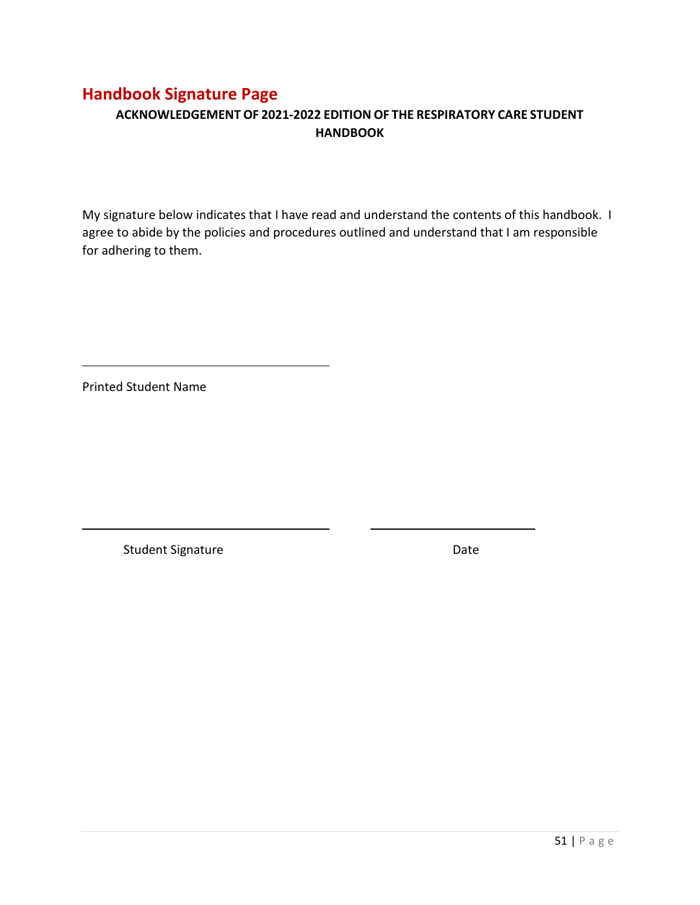### <span id="page-50-0"></span>**Handbook Signature Page**

#### **ACKNOWLEDGEMENT OF 2021-2022 EDITION OF THE RESPIRATORY CARE STUDENT HANDBOOK**

My signature below indicates that I have read and understand the contents of this handbook. I agree to abide by the policies and procedures outlined and understand that I am responsible for adhering to them.

Printed Student Name

Student Signature Date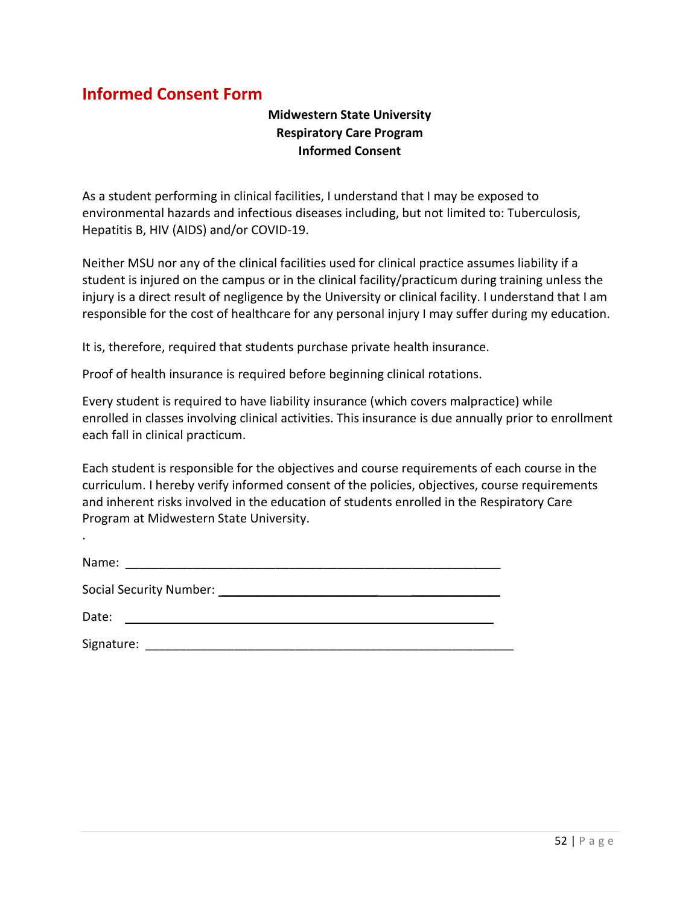### <span id="page-51-0"></span>**Informed Consent Form**

.

#### **Midwestern State University Respiratory Care Program Informed Consent**

As a student performing in clinical facilities, I understand that I may be exposed to environmental hazards and infectious diseases including, but not limited to: Tuberculosis, Hepatitis B, HIV (AIDS) and/or COVID-19.

Neither MSU nor any of the clinical facilities used for clinical practice assumes liability if a student is injured on the campus or in the clinical facility/practicum during training unless the injury is a direct result of negligence by the University or clinical facility. I understand that I am responsible for the cost of healthcare for any personal injury I may suffer during my education.

It is, therefore, required that students purchase private health insurance.

Proof of health insurance is required before beginning clinical rotations.

Every student is required to have liability insurance (which covers malpractice) while enrolled in classes involving clinical activities. This insurance is due annually prior to enrollment each fall in clinical practicum.

Each student is responsible for the objectives and course requirements of each course in the curriculum. I hereby verify informed consent of the policies, objectives, course requirements and inherent risks involved in the education of students enrolled in the Respiratory Care Program at Midwestern State University.

| Name:                          |
|--------------------------------|
| <b>Social Security Number:</b> |
| Date:                          |

Signature: \_\_\_\_\_\_\_\_\_\_\_\_\_\_\_\_\_\_\_\_\_\_\_\_\_\_\_\_\_\_\_\_\_\_\_\_\_\_\_\_\_\_\_\_\_\_\_\_\_\_\_\_\_\_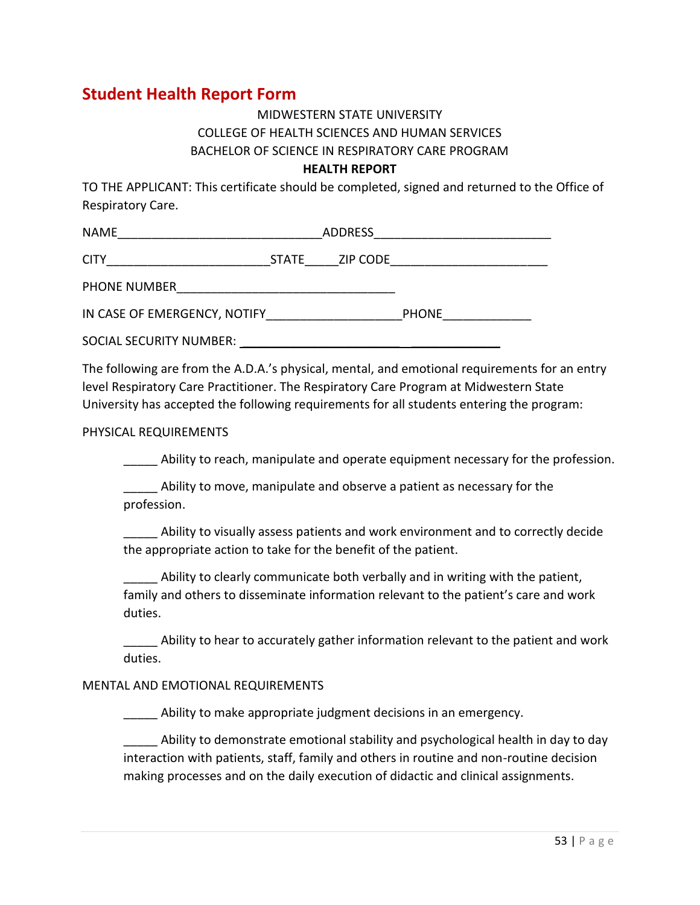### <span id="page-52-0"></span>**Student Health Report Form**

### MIDWESTERN STATE UNIVERSITY COLLEGE OF HEALTH SCIENCES AND HUMAN SERVICES BACHELOR OF SCIENCE IN RESPIRATORY CARE PROGRAM

#### **HEALTH REPORT**

TO THE APPLICANT: This certificate should be completed, signed and returned to the Office of Respiratory Care.

| <b>NAME</b>                  | ADDRESS |              |  |
|------------------------------|---------|--------------|--|
| <b>CITY</b>                  | STATE   | ZIP CODE     |  |
| PHONE NUMBER                 |         |              |  |
| IN CASE OF EMERGENCY, NOTIFY |         | <b>PHONE</b> |  |
| SOCIAL SECURITY NUMBER:      |         |              |  |

The following are from the A.D.A.'s physical, mental, and emotional requirements for an entry level Respiratory Care Practitioner. The Respiratory Care Program at Midwestern State University has accepted the following requirements for all students entering the program:

#### PHYSICAL REQUIREMENTS

Ability to reach, manipulate and operate equipment necessary for the profession.

Ability to move, manipulate and observe a patient as necessary for the profession.

\_\_\_\_\_ Ability to visually assess patients and work environment and to correctly decide the appropriate action to take for the benefit of the patient.

Ability to clearly communicate both verbally and in writing with the patient, family and others to disseminate information relevant to the patient's care and work duties.

Ability to hear to accurately gather information relevant to the patient and work duties.

#### MENTAL AND EMOTIONAL REQUIREMENTS

\_\_\_\_\_ Ability to make appropriate judgment decisions in an emergency.

Ability to demonstrate emotional stability and psychological health in day to day interaction with patients, staff, family and others in routine and non-routine decision making processes and on the daily execution of didactic and clinical assignments.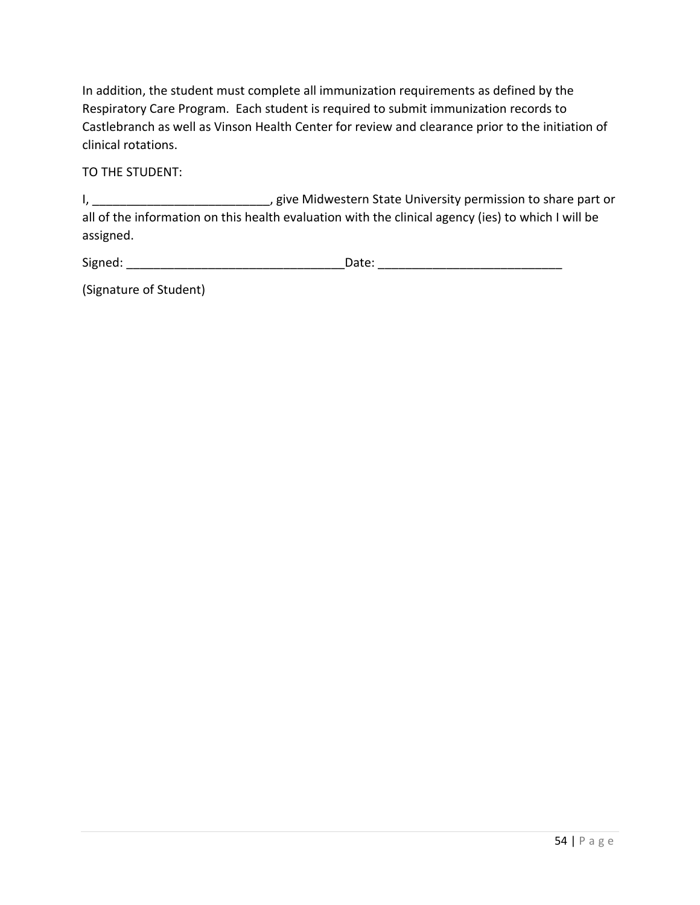In addition, the student must complete all immunization requirements as defined by the Respiratory Care Program. Each student is required to submit immunization records to Castlebranch as well as Vinson Health Center for review and clearance prior to the initiation of clinical rotations.

TO THE STUDENT:

I, \_\_\_\_\_\_\_\_\_\_\_\_\_\_\_\_\_\_\_\_\_\_\_\_\_\_, give Midwestern State University permission to share part or all of the information on this health evaluation with the clinical agency (ies) to which I will be assigned.

| Signed: | l'ate. |
|---------|--------|
|         |        |

(Signature of Student)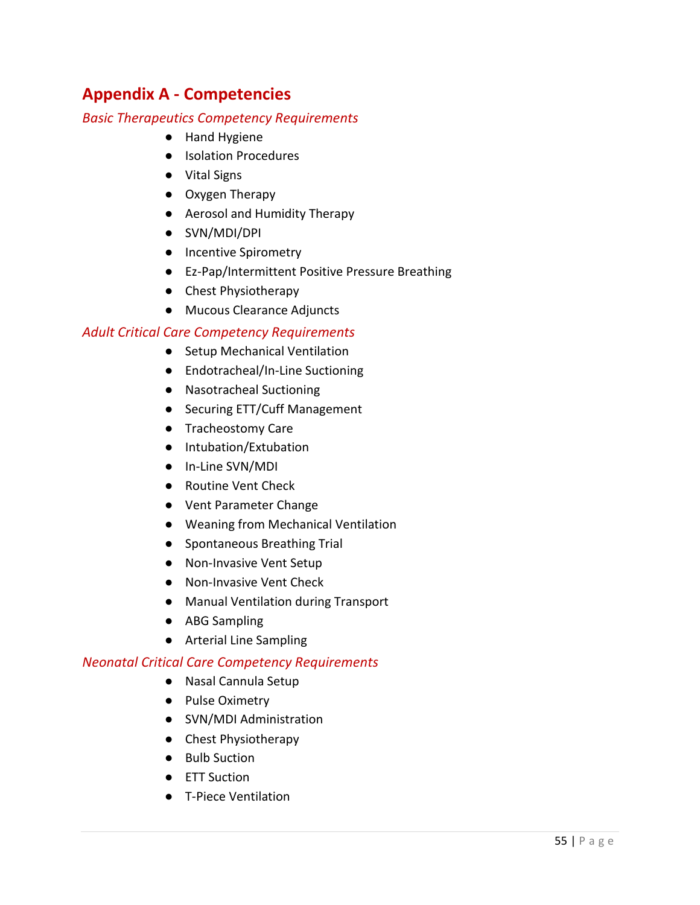# <span id="page-54-0"></span>**Appendix A - Competencies**

#### <span id="page-54-1"></span>*Basic Therapeutics Competency Requirements*

- Hand Hygiene
- Isolation Procedures
- Vital Signs
- Oxygen Therapy
- Aerosol and Humidity Therapy
- SVN/MDI/DPI
- Incentive Spirometry
- Ez-Pap/Intermittent Positive Pressure Breathing
- Chest Physiotherapy
- Mucous Clearance Adjuncts

#### <span id="page-54-2"></span>*Adult Critical Care Competency Requirements*

- Setup Mechanical Ventilation
- Endotracheal/In-Line Suctioning
- Nasotracheal Suctioning
- Securing ETT/Cuff Management
- Tracheostomy Care
- Intubation/Extubation
- In-Line SVN/MDI
- Routine Vent Check
- Vent Parameter Change
- Weaning from Mechanical Ventilation
- Spontaneous Breathing Trial
- Non-Invasive Vent Setup
- Non-Invasive Vent Check
- Manual Ventilation during Transport
- ABG Sampling
- Arterial Line Sampling

#### <span id="page-54-3"></span>*Neonatal Critical Care Competency Requirements*

- Nasal Cannula Setup
- Pulse Oximetry
- SVN/MDI Administration
- Chest Physiotherapy
- Bulb Suction
- ETT Suction
- T-Piece Ventilation